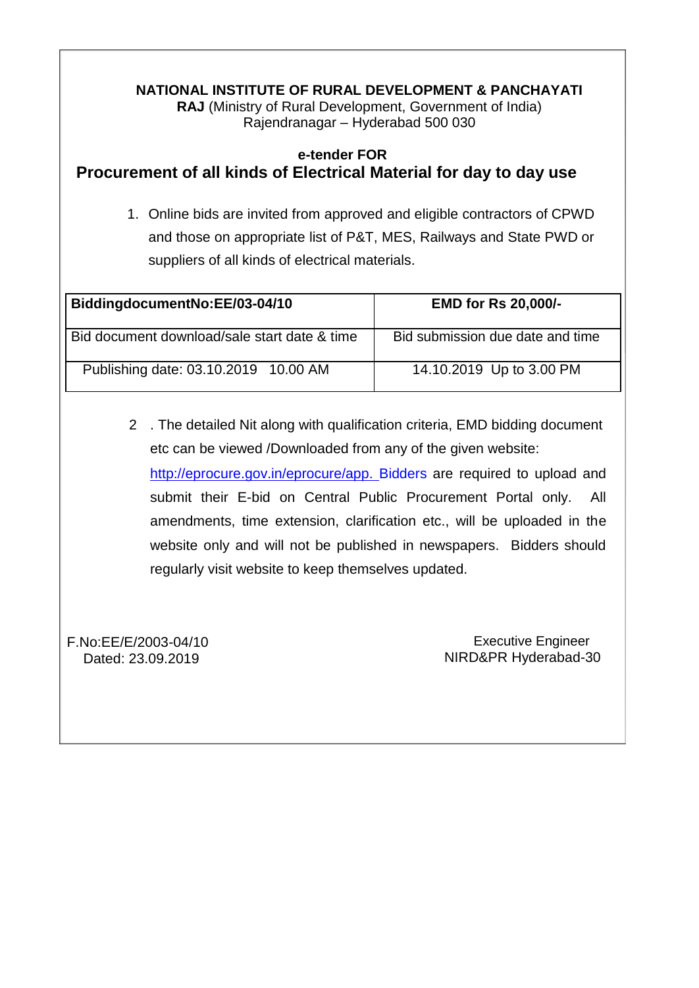#### **NATIONAL INSTITUTE OF RURAL DEVELOPMENT & PANCHAYATI RAJ** (Ministry of Rural Development, Government of India) Rajendranagar – Hyderabad 500 030

# **e-tender FOR Procurement of all kinds of Electrical Material for day to day use**

1. Online bids are invited from approved and eligible contractors of CPWD and those on appropriate list of P&T, MES, Railways and State PWD or suppliers of all kinds of electrical materials.

| BiddingdocumentNo:EE/03-04/10                | <b>EMD for Rs 20,000/-</b>       |
|----------------------------------------------|----------------------------------|
| Bid document download/sale start date & time | Bid submission due date and time |
| Publishing date: 03.10.2019 10.00 AM         | 14.10.2019 Up to 3.00 PM         |

2 . The detailed Nit along with qualification criteria, EMD bidding document etc can be viewed /Downloaded from any of the given website:

[http://eprocure.gov.in/eprocure/app. B](http://eprocure.gov.in/eprocure/app.)idders are required to upload and submit their E-bid on Central Public Procurement Portal only. All amendments, time extension, clarification etc., will be uploaded in the website only and will not be published in newspapers. Bidders should regularly visit website to keep themselves updated.

F.No:EE/E/2003-04/10 Dated: 23.09.2019

Executive Engineer NIRD&PR Hyderabad-30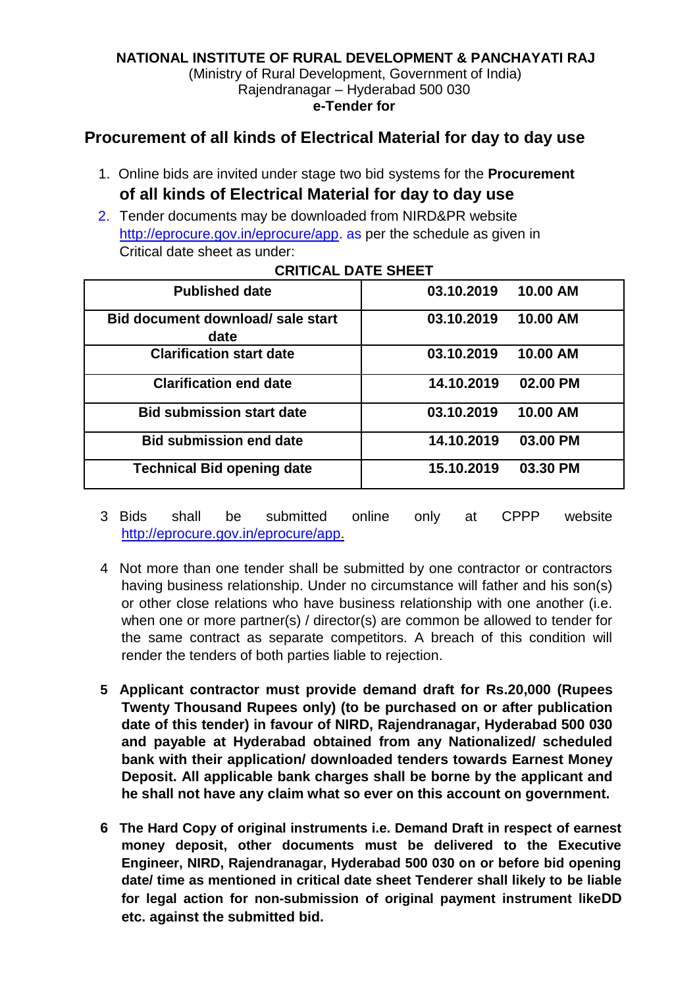#### **NATIONAL INSTITUTE OF RURAL DEVELOPMENT & PANCHAYATI RAJ**

(Ministry of Rural Development, Government of India) Rajendranagar – Hyderabad 500 030 **e-Tender for**

# **Procurement of all kinds of Electrical Material for day to day use**

- 1. Online bids are invited under stage two bid systems for the **Procurement of all kinds of Electrical Material for day to day use**
- 2. Tender documents may be downloaded from NIRD&PR website [http://eprocure.gov.in/eprocure/app.](http://eprocure.gov.in/eprocure/app) as per the schedule as given in Critical date sheet as under:

| <b>Published date</b>                     | 10.00 AM<br>03.10.2019 |
|-------------------------------------------|------------------------|
| Bid document download/ sale start<br>date | 10.00 AM<br>03.10.2019 |
| <b>Clarification start date</b>           | 10.00 AM<br>03.10.2019 |
| <b>Clarification end date</b>             | 14.10.2019<br>02.00 PM |
| <b>Bid submission start date</b>          | 10.00 AM<br>03.10.2019 |
| <b>Bid submission end date</b>            | 14.10.2019<br>03.00 PM |
| <b>Technical Bid opening date</b>         | 03.30 PM<br>15.10.2019 |

#### **CRITICAL DATE SHEET**

3 Bids shall be submitted online only at CPPP website [http://eprocure.gov.in/eprocure/app.](http://eprocure.gov.in/eprocure/app)

- 4 Not more than one tender shall be submitted by one contractor or contractors having business relationship. Under no circumstance will father and his son(s) or other close relations who have business relationship with one another (i.e. when one or more partner(s) / director(s) are common be allowed to tender for the same contract as separate competitors. A breach of this condition will render the tenders of both parties liable to rejection.
- **5 Applicant contractor must provide demand draft for Rs.20,000 (Rupees Twenty Thousand Rupees only) (to be purchased on or after publication date of this tender) in favour of NIRD, Rajendranagar, Hyderabad 500 030 and payable at Hyderabad obtained from any Nationalized/ scheduled bank with their application/ downloaded tenders towards Earnest Money Deposit. All applicable bank charges shall be borne by the applicant and he shall not have any claim what so ever on this account on government.**
- **6 The Hard Copy of original instruments i.e. Demand Draft in respect of earnest money deposit, other documents must be delivered to the Executive Engineer, NIRD, Rajendranagar, Hyderabad 500 030 on or before bid opening date/ time as mentioned in critical date sheet Tenderer shall likely to be liable for legal action for non-submission of original payment instrument likeDD etc. against the submitted bid.**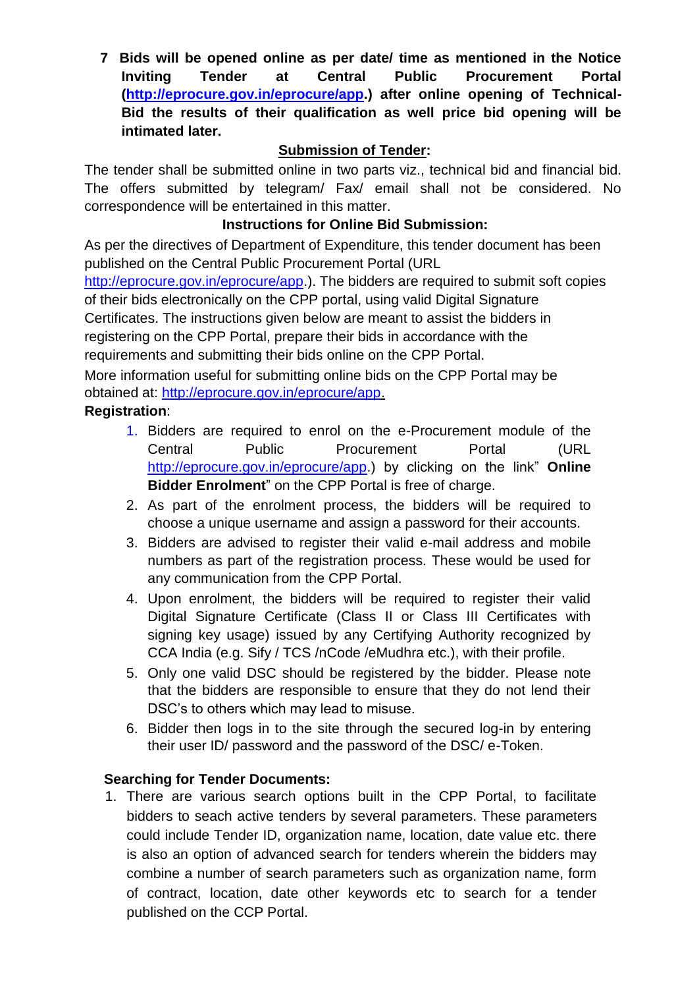**7 Bids will be opened online as per date/ time as mentioned in the Notice Inviting Tender at Central Public Procurement Portal [\(http://eprocure.gov.in/eprocure/app.](http://eprocure.gov.in/eprocure/app)) after online opening of Technical-Bid the results of their qualification as well price bid opening will be intimated later.**

# **Submission of Tender:**

The tender shall be submitted online in two parts viz., technical bid and financial bid. The offers submitted by telegram/ Fax/ email shall not be considered. No correspondence will be entertained in this matter.

# **Instructions for Online Bid Submission:**

As per the directives of Department of Expenditure, this tender document has been published on the Central Public Procurement Portal (URL

[http://eprocure.gov.in/eprocure/app.](http://eprocure.gov.in/eprocure/app)). The bidders are required to submit soft copies of their bids electronically on the CPP portal, using valid Digital Signature Certificates. The instructions given below are meant to assist the bidders in registering on the CPP Portal, prepare their bids in accordance with the requirements and submitting their bids online on the CPP Portal.

More information useful for submitting online bids on the CPP Portal may be obtained at: [http://eprocure.gov.in/eprocure/app.](http://eprocure.gov.in/eprocure/app)

# **Registration**:

- 1. Bidders are required to enrol on the e-Procurement module of the Central Public Procurement Portal (URL [http://eprocure.gov.in/eprocure/app.](http://eprocure.gov.in/eprocure/app)) by clicking on the link" **Online Bidder Enrolment**" on the CPP Portal is free of charge.
- 2. As part of the enrolment process, the bidders will be required to choose a unique username and assign a password for their accounts.
- 3. Bidders are advised to register their valid e-mail address and mobile numbers as part of the registration process. These would be used for any communication from the CPP Portal.
- 4. Upon enrolment, the bidders will be required to register their valid Digital Signature Certificate (Class II or Class III Certificates with signing key usage) issued by any Certifying Authority recognized by CCA India (e.g. Sify / TCS /nCode /eMudhra etc.), with their profile.
- 5. Only one valid DSC should be registered by the bidder. Please note that the bidders are responsible to ensure that they do not lend their DSC's to others which may lead to misuse.
- 6. Bidder then logs in to the site through the secured log-in by entering their user ID/ password and the password of the DSC/ e-Token.

# **Searching for Tender Documents:**

1. There are various search options built in the CPP Portal, to facilitate bidders to seach active tenders by several parameters. These parameters could include Tender ID, organization name, location, date value etc. there is also an option of advanced search for tenders wherein the bidders may combine a number of search parameters such as organization name, form of contract, location, date other keywords etc to search for a tender published on the CCP Portal.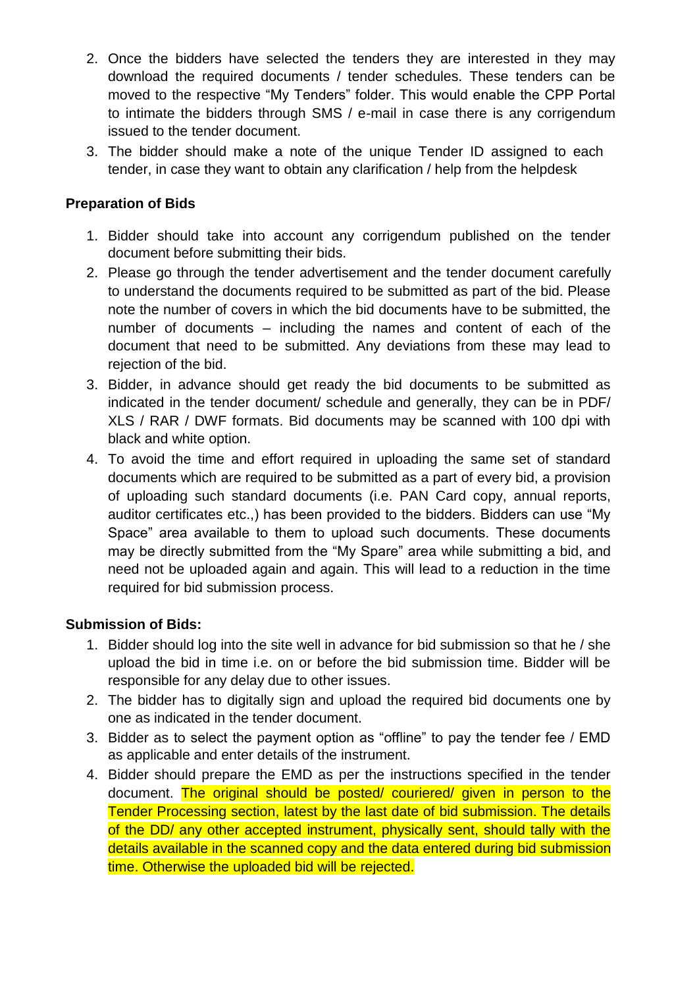- 2. Once the bidders have selected the tenders they are interested in they may download the required documents / tender schedules. These tenders can be moved to the respective "My Tenders" folder. This would enable the CPP Portal to intimate the bidders through SMS / e-mail in case there is any corrigendum issued to the tender document.
- 3. The bidder should make a note of the unique Tender ID assigned to each tender, in case they want to obtain any clarification / help from the helpdesk

# **Preparation of Bids**

- 1. Bidder should take into account any corrigendum published on the tender document before submitting their bids.
- 2. Please go through the tender advertisement and the tender document carefully to understand the documents required to be submitted as part of the bid. Please note the number of covers in which the bid documents have to be submitted, the number of documents – including the names and content of each of the document that need to be submitted. Any deviations from these may lead to rejection of the bid.
- 3. Bidder, in advance should get ready the bid documents to be submitted as indicated in the tender document/ schedule and generally, they can be in PDF/ XLS / RAR / DWF formats. Bid documents may be scanned with 100 dpi with black and white option.
- 4. To avoid the time and effort required in uploading the same set of standard documents which are required to be submitted as a part of every bid, a provision of uploading such standard documents (i.e. PAN Card copy, annual reports, auditor certificates etc.,) has been provided to the bidders. Bidders can use "My Space" area available to them to upload such documents. These documents may be directly submitted from the "My Spare" area while submitting a bid, and need not be uploaded again and again. This will lead to a reduction in the time required for bid submission process.

### **Submission of Bids:**

- 1. Bidder should log into the site well in advance for bid submission so that he / she upload the bid in time i.e. on or before the bid submission time. Bidder will be responsible for any delay due to other issues.
- 2. The bidder has to digitally sign and upload the required bid documents one by one as indicated in the tender document.
- 3. Bidder as to select the payment option as "offline" to pay the tender fee / EMD as applicable and enter details of the instrument.
- 4. Bidder should prepare the EMD as per the instructions specified in the tender document. The original should be posted/ couriered/ given in person to the Tender Processing section, latest by the last date of bid submission. The details of the DD/ any other accepted instrument, physically sent, should tally with the details available in the scanned copy and the data entered during bid submission time. Otherwise the uploaded bid will be rejected.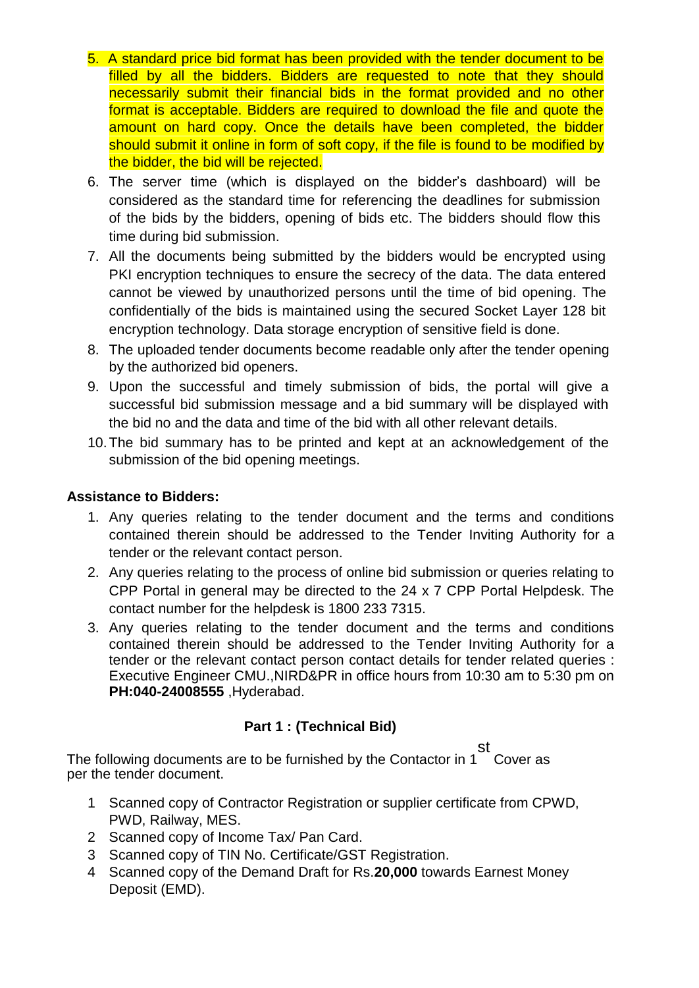- 5. A standard price bid format has been provided with the tender document to be filled by all the bidders. Bidders are requested to note that they should necessarily submit their financial bids in the format provided and no other format is acceptable. Bidders are required to download the file and quote the amount on hard copy. Once the details have been completed, the bidder should submit it online in form of soft copy, if the file is found to be modified by the bidder, the bid will be rejected.
- 6. The server time (which is displayed on the bidder's dashboard) will be considered as the standard time for referencing the deadlines for submission of the bids by the bidders, opening of bids etc. The bidders should flow this time during bid submission.
- 7. All the documents being submitted by the bidders would be encrypted using PKI encryption techniques to ensure the secrecy of the data. The data entered cannot be viewed by unauthorized persons until the time of bid opening. The confidentially of the bids is maintained using the secured Socket Layer 128 bit encryption technology. Data storage encryption of sensitive field is done.
- 8. The uploaded tender documents become readable only after the tender opening by the authorized bid openers.
- 9. Upon the successful and timely submission of bids, the portal will give a successful bid submission message and a bid summary will be displayed with the bid no and the data and time of the bid with all other relevant details.
- 10.The bid summary has to be printed and kept at an acknowledgement of the submission of the bid opening meetings.

### **Assistance to Bidders:**

- 1. Any queries relating to the tender document and the terms and conditions contained therein should be addressed to the Tender Inviting Authority for a tender or the relevant contact person.
- 2. Any queries relating to the process of online bid submission or queries relating to CPP Portal in general may be directed to the 24 x 7 CPP Portal Helpdesk. The contact number for the helpdesk is 1800 233 7315.
- 3. Any queries relating to the tender document and the terms and conditions contained therein should be addressed to the Tender Inviting Authority for a tender or the relevant contact person contact details for tender related queries : Executive Engineer CMU.,NIRD&PR in office hours from 10:30 am to 5:30 pm on **PH:040-24008555** ,Hyderabad.

# **Part 1 : (Technical Bid)**

The following documents are to be furnished by the Contactor in 1 st Cover as per the tender document.

- 1 Scanned copy of Contractor Registration or supplier certificate from CPWD, PWD, Railway, MES.
- 2 Scanned copy of Income Tax/ Pan Card.
- 3 Scanned copy of TIN No. Certificate/GST Registration.
- 4 Scanned copy of the Demand Draft for Rs.**20,000** towards Earnest Money Deposit (EMD).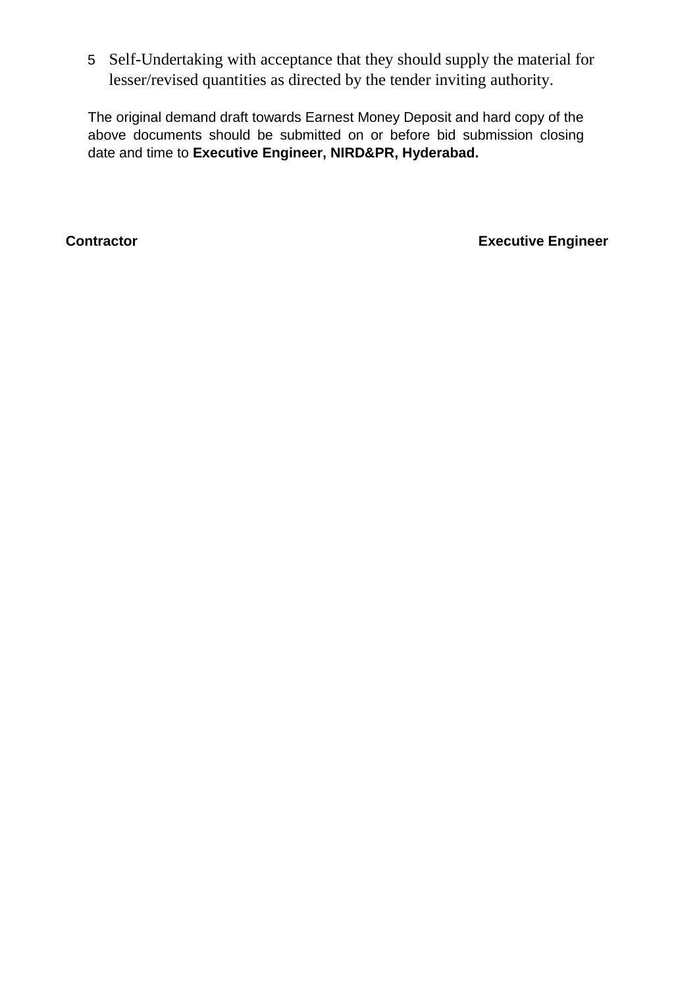5 Self-Undertaking with acceptance that they should supply the material for lesser/revised quantities as directed by the tender inviting authority.

The original demand draft towards Earnest Money Deposit and hard copy of the above documents should be submitted on or before bid submission closing date and time to **Executive Engineer, NIRD&PR, Hyderabad.**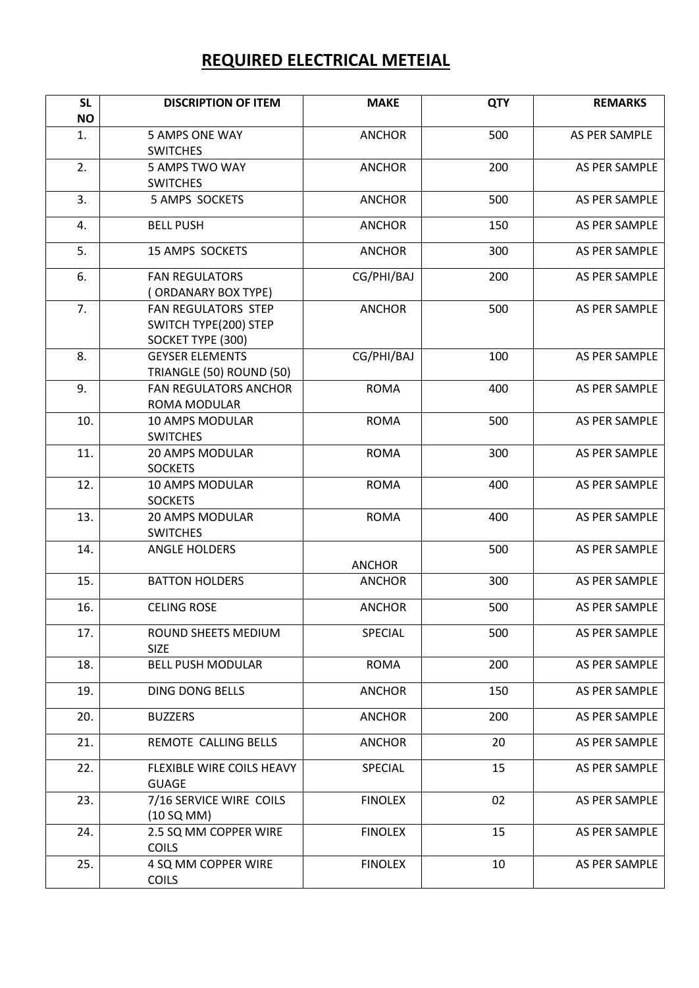# **REQUIRED ELECTRICAL METEIAL**

| <b>SL</b> | <b>DISCRIPTION OF ITEM</b>                                        | <b>MAKE</b>    | <b>QTY</b> | <b>REMARKS</b> |
|-----------|-------------------------------------------------------------------|----------------|------------|----------------|
| <b>NO</b> |                                                                   |                |            |                |
| 1.        | 5 AMPS ONE WAY<br><b>SWITCHES</b>                                 | <b>ANCHOR</b>  | 500        | AS PER SAMPLE  |
| 2.        | 5 AMPS TWO WAY<br><b>SWITCHES</b>                                 | <b>ANCHOR</b>  | 200        | AS PER SAMPLE  |
| 3.        | 5 AMPS SOCKETS                                                    | <b>ANCHOR</b>  | 500        | AS PER SAMPLE  |
| 4.        | <b>BELL PUSH</b>                                                  | <b>ANCHOR</b>  | 150        | AS PER SAMPLE  |
| 5.        | <b>15 AMPS SOCKETS</b>                                            | <b>ANCHOR</b>  | 300        | AS PER SAMPLE  |
| 6.        | <b>FAN REGULATORS</b><br><b>ORDANARY BOX TYPE)</b>                | CG/PHI/BAJ     | 200        | AS PER SAMPLE  |
| 7.        | FAN REGULATORS STEP<br>SWITCH TYPE(200) STEP<br>SOCKET TYPE (300) | <b>ANCHOR</b>  | 500        | AS PER SAMPLE  |
| 8.        | <b>GEYSER ELEMENTS</b><br>TRIANGLE (50) ROUND (50)                | CG/PHI/BAJ     | 100        | AS PER SAMPLE  |
| 9.        | <b>FAN REGULATORS ANCHOR</b><br><b>ROMA MODULAR</b>               | <b>ROMA</b>    | 400        | AS PER SAMPLE  |
| 10.       | 10 AMPS MODULAR<br><b>SWITCHES</b>                                | <b>ROMA</b>    | 500        | AS PER SAMPLE  |
| 11.       | 20 AMPS MODULAR<br><b>SOCKETS</b>                                 | <b>ROMA</b>    | 300        | AS PER SAMPLE  |
| 12.       | 10 AMPS MODULAR<br><b>SOCKETS</b>                                 | <b>ROMA</b>    | 400        | AS PER SAMPLE  |
| 13.       | 20 AMPS MODULAR<br><b>SWITCHES</b>                                | <b>ROMA</b>    | 400        | AS PER SAMPLE  |
| 14.       | <b>ANGLE HOLDERS</b>                                              | <b>ANCHOR</b>  | 500        | AS PER SAMPLE  |
| 15.       | <b>BATTON HOLDERS</b>                                             | <b>ANCHOR</b>  | 300        | AS PER SAMPLE  |
| 16.       | <b>CELING ROSE</b>                                                | <b>ANCHOR</b>  | 500        | AS PER SAMPLE  |
| 17.       | ROUND SHEETS MEDIUM<br><b>SIZE</b>                                | SPECIAL        | 500        | AS PER SAMPLE  |
| 18.       | <b>BELL PUSH MODULAR</b>                                          | <b>ROMA</b>    | 200        | AS PER SAMPLE  |
| 19.       | <b>DING DONG BELLS</b>                                            | <b>ANCHOR</b>  | 150        | AS PER SAMPLE  |
| 20.       | <b>BUZZERS</b>                                                    | <b>ANCHOR</b>  | 200        | AS PER SAMPLE  |
| 21.       | REMOTE CALLING BELLS                                              | <b>ANCHOR</b>  | 20         | AS PER SAMPLE  |
| 22.       | FLEXIBLE WIRE COILS HEAVY<br><b>GUAGE</b>                         | SPECIAL        | 15         | AS PER SAMPLE  |
| 23.       | 7/16 SERVICE WIRE COILS<br>(10 SQ MM)                             | <b>FINOLEX</b> | 02         | AS PER SAMPLE  |
| 24.       | 2.5 SQ MM COPPER WIRE<br><b>COILS</b>                             | <b>FINOLEX</b> | 15         | AS PER SAMPLE  |
| 25.       | 4 SQ MM COPPER WIRE<br><b>COILS</b>                               | <b>FINOLEX</b> | 10         | AS PER SAMPLE  |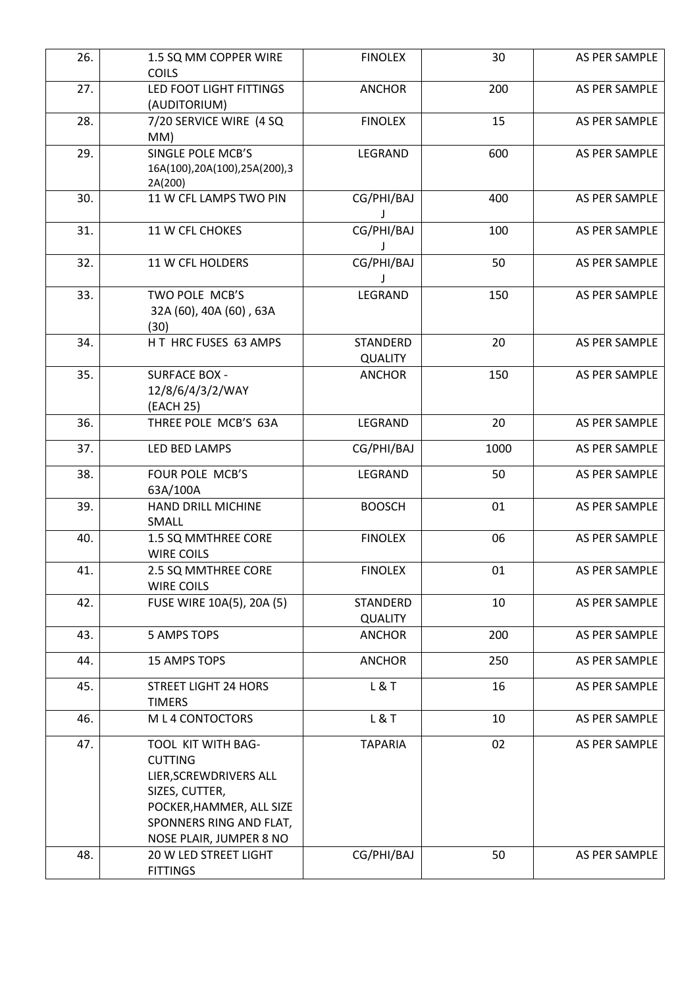| 26. | 1.5 SQ MM COPPER WIRE<br><b>COILS</b>                                                                                                                              | <b>FINOLEX</b>                    | 30   | AS PER SAMPLE |
|-----|--------------------------------------------------------------------------------------------------------------------------------------------------------------------|-----------------------------------|------|---------------|
| 27. | LED FOOT LIGHT FITTINGS<br>(AUDITORIUM)                                                                                                                            | <b>ANCHOR</b>                     | 200  | AS PER SAMPLE |
| 28. | 7/20 SERVICE WIRE (4 SQ<br>MM)                                                                                                                                     | <b>FINOLEX</b>                    | 15   | AS PER SAMPLE |
| 29. | SINGLE POLE MCB'S<br>16A(100),20A(100),25A(200),3<br>2A(200)                                                                                                       | LEGRAND                           | 600  | AS PER SAMPLE |
| 30. | 11 W CFL LAMPS TWO PIN                                                                                                                                             | CG/PHI/BAJ                        | 400  | AS PER SAMPLE |
| 31. | 11 W CFL CHOKES                                                                                                                                                    | CG/PHI/BAJ                        | 100  | AS PER SAMPLE |
| 32. | 11 W CFL HOLDERS                                                                                                                                                   | CG/PHI/BAJ                        | 50   | AS PER SAMPLE |
| 33. | TWO POLE MCB'S<br>32A (60), 40A (60), 63A<br>(30)                                                                                                                  | LEGRAND                           | 150  | AS PER SAMPLE |
| 34. | HT HRC FUSES 63 AMPS                                                                                                                                               | STANDERD<br><b>QUALITY</b>        | 20   | AS PER SAMPLE |
| 35. | <b>SURFACE BOX -</b><br>12/8/6/4/3/2/WAY<br>(EACH 25)                                                                                                              | <b>ANCHOR</b>                     | 150  | AS PER SAMPLE |
| 36. | THREE POLE MCB'S 63A                                                                                                                                               | LEGRAND                           | 20   | AS PER SAMPLE |
| 37. | LED BED LAMPS                                                                                                                                                      | CG/PHI/BAJ                        | 1000 | AS PER SAMPLE |
| 38. | FOUR POLE MCB'S<br>63A/100A                                                                                                                                        | LEGRAND                           | 50   | AS PER SAMPLE |
| 39. | HAND DRILL MICHINE<br>SMALL                                                                                                                                        | <b>BOOSCH</b>                     | 01   | AS PER SAMPLE |
| 40. | 1.5 SQ MMTHREE CORE<br><b>WIRE COILS</b>                                                                                                                           | <b>FINOLEX</b>                    | 06   | AS PER SAMPLE |
| 41. | 2.5 SQ MMTHREE CORE<br><b>WIRE COILS</b>                                                                                                                           | <b>FINOLEX</b>                    | 01   | AS PER SAMPLE |
| 42. | FUSE WIRE 10A(5), 20A (5)                                                                                                                                          | <b>STANDERD</b><br><b>QUALITY</b> | 10   | AS PER SAMPLE |
| 43. | <b>5 AMPS TOPS</b>                                                                                                                                                 | <b>ANCHOR</b>                     | 200  | AS PER SAMPLE |
| 44. | 15 AMPS TOPS                                                                                                                                                       | <b>ANCHOR</b>                     | 250  | AS PER SAMPLE |
| 45. | <b>STREET LIGHT 24 HORS</b><br><b>TIMERS</b>                                                                                                                       | L&T                               | 16   | AS PER SAMPLE |
| 46. | M L 4 CONTOCTORS                                                                                                                                                   | L & T                             | 10   | AS PER SAMPLE |
| 47. | TOOL KIT WITH BAG-<br><b>CUTTING</b><br>LIER, SCREWDRIVERS ALL<br>SIZES, CUTTER,<br>POCKER, HAMMER, ALL SIZE<br>SPONNERS RING AND FLAT,<br>NOSE PLAIR, JUMPER 8 NO | <b>TAPARIA</b>                    | 02   | AS PER SAMPLE |
| 48. | 20 W LED STREET LIGHT<br><b>FITTINGS</b>                                                                                                                           | CG/PHI/BAJ                        | 50   | AS PER SAMPLE |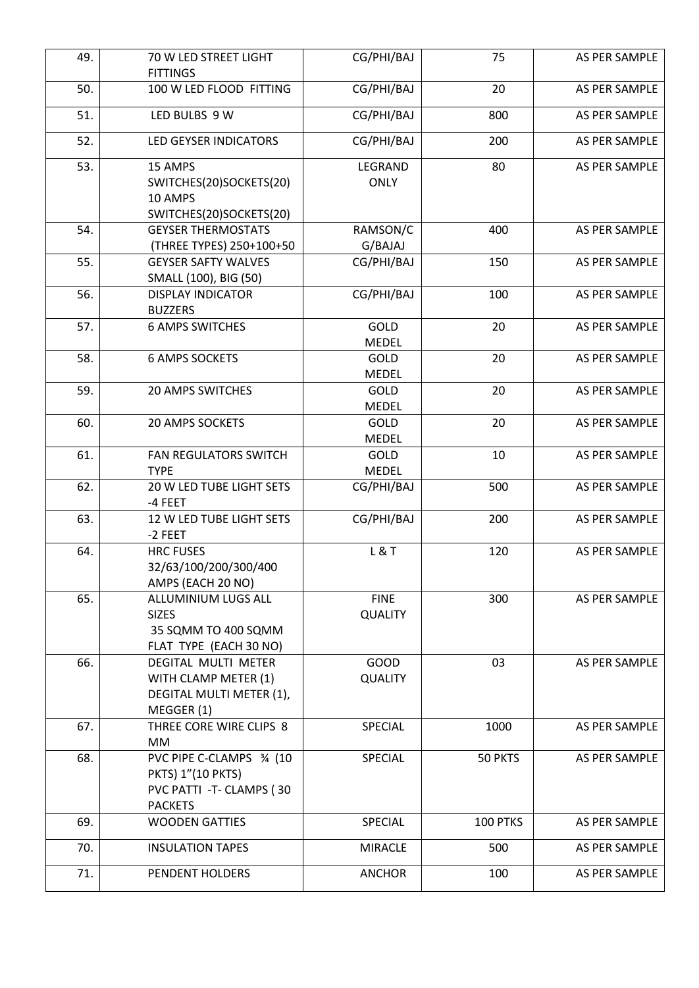| 49. | 70 W LED STREET LIGHT<br><b>FITTINGS</b>                                                   | CG/PHI/BAJ                    | 75       | AS PER SAMPLE |
|-----|--------------------------------------------------------------------------------------------|-------------------------------|----------|---------------|
| 50. | 100 W LED FLOOD FITTING                                                                    | CG/PHI/BAJ                    | 20       | AS PER SAMPLE |
| 51. | LED BULBS 9 W                                                                              | CG/PHI/BAJ                    | 800      | AS PER SAMPLE |
|     |                                                                                            |                               |          |               |
| 52. | <b>LED GEYSER INDICATORS</b>                                                               | CG/PHI/BAJ                    | 200      | AS PER SAMPLE |
| 53. | 15 AMPS<br>SWITCHES(20)SOCKETS(20)<br>10 AMPS<br>SWITCHES(20)SOCKETS(20)                   | LEGRAND<br><b>ONLY</b>        | 80       | AS PER SAMPLE |
| 54. | <b>GEYSER THERMOSTATS</b><br>(THREE TYPES) 250+100+50                                      | RAMSON/C<br>G/BAJAJ           | 400      | AS PER SAMPLE |
| 55. | <b>GEYSER SAFTY WALVES</b><br>SMALL (100), BIG (50)                                        | CG/PHI/BAJ                    | 150      | AS PER SAMPLE |
| 56. | <b>DISPLAY INDICATOR</b><br><b>BUZZERS</b>                                                 | CG/PHI/BAJ                    | 100      | AS PER SAMPLE |
| 57. | <b>6 AMPS SWITCHES</b>                                                                     | GOLD<br><b>MEDEL</b>          | 20       | AS PER SAMPLE |
| 58. | <b>6 AMPS SOCKETS</b>                                                                      | GOLD<br>MEDEL                 | 20       | AS PER SAMPLE |
| 59. | <b>20 AMPS SWITCHES</b>                                                                    | GOLD<br><b>MEDEL</b>          | 20       | AS PER SAMPLE |
| 60. | <b>20 AMPS SOCKETS</b>                                                                     | GOLD<br><b>MEDEL</b>          | 20       | AS PER SAMPLE |
| 61. | <b>FAN REGULATORS SWITCH</b><br><b>TYPE</b>                                                | GOLD<br>MEDEL                 | 10       | AS PER SAMPLE |
| 62. | 20 W LED TUBE LIGHT SETS<br>-4 FEET                                                        | CG/PHI/BAJ                    | 500      | AS PER SAMPLE |
| 63. | 12 W LED TUBE LIGHT SETS<br>-2 FEET                                                        | CG/PHI/BAJ                    | 200      | AS PER SAMPLE |
| 64. | <b>HRC FUSES</b><br>32/63/100/200/300/400<br>AMPS (EACH 20 NO)                             | L & T                         | 120      | AS PER SAMPLE |
| 65. | ALLUMINIUM LUGS ALL<br><b>SIZES</b><br>35 SQMM TO 400 SQMM<br>FLAT TYPE (EACH 30 NO)       | <b>FINE</b><br><b>QUALITY</b> | 300      | AS PER SAMPLE |
| 66. | DEGITAL MULTI METER<br>WITH CLAMP METER (1)<br>DEGITAL MULTI METER (1),<br>MEGGER (1)      | <b>GOOD</b><br><b>QUALITY</b> | 03       | AS PER SAMPLE |
| 67. | THREE CORE WIRE CLIPS 8<br>МM                                                              | SPECIAL                       | 1000     | AS PER SAMPLE |
| 68. | PVC PIPE C-CLAMPS 3/4 (10<br>PKTS) 1"(10 PKTS)<br>PVC PATTI-T-CLAMPS (30<br><b>PACKETS</b> | SPECIAL                       | 50 PKTS  | AS PER SAMPLE |
| 69. | <b>WOODEN GATTIES</b>                                                                      | SPECIAL                       | 100 PTKS | AS PER SAMPLE |
| 70. | <b>INSULATION TAPES</b>                                                                    | <b>MIRACLE</b>                | 500      | AS PER SAMPLE |
| 71. | PENDENT HOLDERS                                                                            | <b>ANCHOR</b>                 | 100      | AS PER SAMPLE |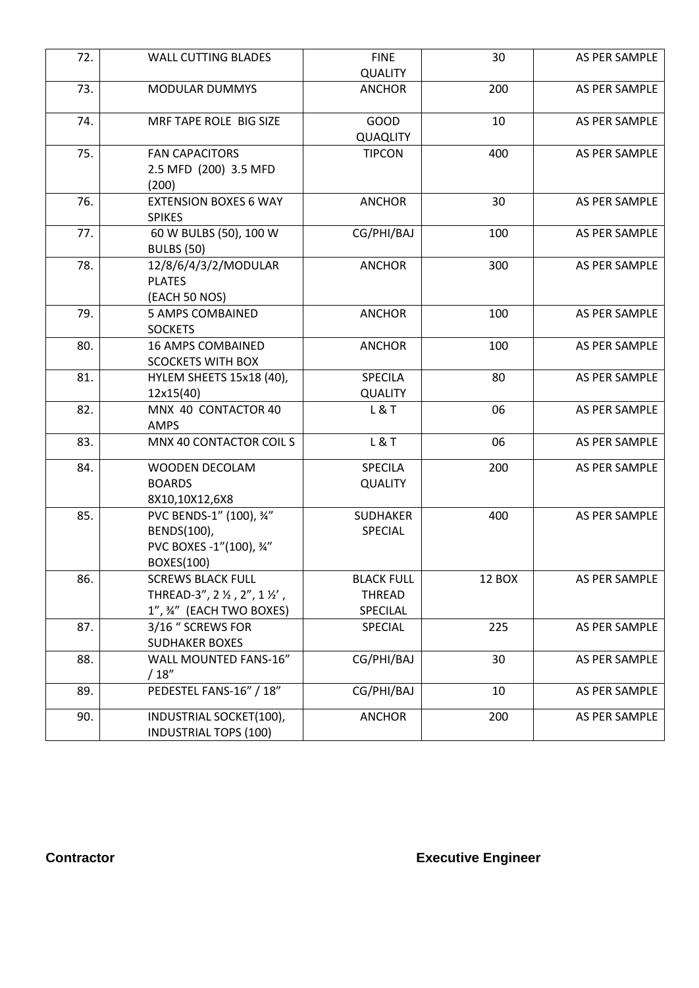| 72. | <b>WALL CUTTING BLADES</b>                                                        | <b>FINE</b>                                    | 30     | AS PER SAMPLE |
|-----|-----------------------------------------------------------------------------------|------------------------------------------------|--------|---------------|
|     |                                                                                   | <b>QUALITY</b>                                 |        |               |
| 73. | <b>MODULAR DUMMYS</b>                                                             | <b>ANCHOR</b>                                  | 200    | AS PER SAMPLE |
| 74. | MRF TAPE ROLE BIG SIZE                                                            | <b>GOOD</b><br>QUAQLITY                        | 10     | AS PER SAMPLE |
| 75. | <b>FAN CAPACITORS</b><br>2.5 MFD (200) 3.5 MFD<br>(200)                           | <b>TIPCON</b>                                  | 400    | AS PER SAMPLE |
| 76. | <b>EXTENSION BOXES 6 WAY</b><br><b>SPIKES</b>                                     | <b>ANCHOR</b>                                  | 30     | AS PER SAMPLE |
| 77. | 60 W BULBS (50), 100 W<br><b>BULBS (50)</b>                                       | CG/PHI/BAJ                                     | 100    | AS PER SAMPLE |
| 78. | 12/8/6/4/3/2/MODULAR<br><b>PLATES</b><br>(EACH 50 NOS)                            | <b>ANCHOR</b>                                  | 300    | AS PER SAMPLE |
| 79. | <b>5 AMPS COMBAINED</b><br><b>SOCKETS</b>                                         | <b>ANCHOR</b>                                  | 100    | AS PER SAMPLE |
| 80. | <b>16 AMPS COMBAINED</b><br><b>SCOCKETS WITH BOX</b>                              | <b>ANCHOR</b>                                  | 100    | AS PER SAMPLE |
| 81. | HYLEM SHEETS 15x18 (40),<br>12x15(40)                                             | <b>SPECILA</b><br><b>QUALITY</b>               | 80     | AS PER SAMPLE |
| 82. | MNX 40 CONTACTOR 40<br>AMPS                                                       | L & T                                          | 06     | AS PER SAMPLE |
| 83. | MNX 40 CONTACTOR COIL S                                                           | L & T                                          | 06     | AS PER SAMPLE |
| 84. | WOODEN DECOLAM<br><b>BOARDS</b><br>8X10,10X12,6X8                                 | SPECILA<br><b>QUALITY</b>                      | 200    | AS PER SAMPLE |
| 85. | PVC BENDS-1" (100), 3/4"<br>BENDS(100),<br>PVC BOXES -1"(100), 34"<br>BOXES(100)  | <b>SUDHAKER</b><br>SPECIAL                     | 400    | AS PER SAMPLE |
| 86. | <b>SCREWS BLACK FULL</b><br>THREAD-3", 2 ½, 2", 1 ½',<br>1", 34" (EACH TWO BOXES) | <b>BLACK FULL</b><br><b>THREAD</b><br>SPECILAL | 12 BOX | AS PER SAMPLE |
| 87. | 3/16 " SCREWS FOR<br><b>SUDHAKER BOXES</b>                                        | SPECIAL                                        | 225    | AS PER SAMPLE |
| 88. | WALL MOUNTED FANS-16"<br>/ 18''                                                   | CG/PHI/BAJ                                     | 30     | AS PER SAMPLE |
| 89. | PEDESTEL FANS-16" / 18"                                                           | CG/PHI/BAJ                                     | 10     | AS PER SAMPLE |
| 90. | INDUSTRIAL SOCKET(100),<br><b>INDUSTRIAL TOPS (100)</b>                           | <b>ANCHOR</b>                                  | 200    | AS PER SAMPLE |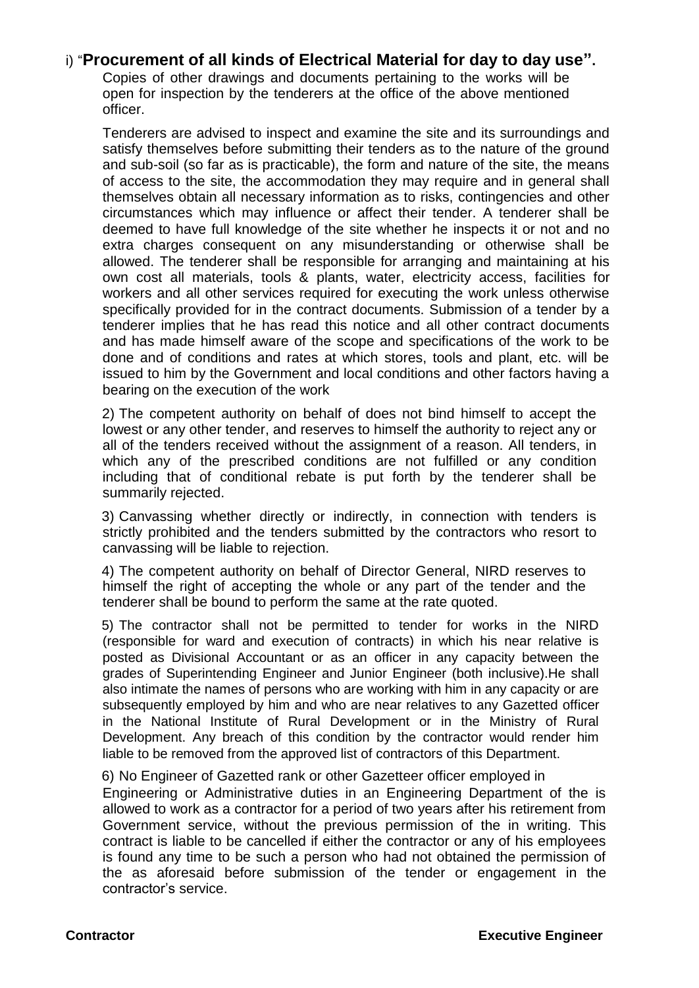### i) "**Procurement of all kinds of Electrical Material for day to day use".**

Copies of other drawings and documents pertaining to the works will be open for inspection by the tenderers at the office of the above mentioned officer.

Tenderers are advised to inspect and examine the site and its surroundings and satisfy themselves before submitting their tenders as to the nature of the ground and sub-soil (so far as is practicable), the form and nature of the site, the means of access to the site, the accommodation they may require and in general shall themselves obtain all necessary information as to risks, contingencies and other circumstances which may influence or affect their tender. A tenderer shall be deemed to have full knowledge of the site whether he inspects it or not and no extra charges consequent on any misunderstanding or otherwise shall be allowed. The tenderer shall be responsible for arranging and maintaining at his own cost all materials, tools & plants, water, electricity access, facilities for workers and all other services required for executing the work unless otherwise specifically provided for in the contract documents. Submission of a tender by a tenderer implies that he has read this notice and all other contract documents and has made himself aware of the scope and specifications of the work to be done and of conditions and rates at which stores, tools and plant, etc. will be issued to him by the Government and local conditions and other factors having a bearing on the execution of the work

2) The competent authority on behalf of does not bind himself to accept the lowest or any other tender, and reserves to himself the authority to reject any or all of the tenders received without the assignment of a reason. All tenders, in which any of the prescribed conditions are not fulfilled or any condition including that of conditional rebate is put forth by the tenderer shall be summarily rejected.

3) Canvassing whether directly or indirectly, in connection with tenders is strictly prohibited and the tenders submitted by the contractors who resort to canvassing will be liable to rejection.

4) The competent authority on behalf of Director General, NIRD reserves to himself the right of accepting the whole or any part of the tender and the tenderer shall be bound to perform the same at the rate quoted.

5) The contractor shall not be permitted to tender for works in the NIRD (responsible for ward and execution of contracts) in which his near relative is posted as Divisional Accountant or as an officer in any capacity between the grades of Superintending Engineer and Junior Engineer (both inclusive).He shall also intimate the names of persons who are working with him in any capacity or are subsequently employed by him and who are near relatives to any Gazetted officer in the National Institute of Rural Development or in the Ministry of Rural Development. Any breach of this condition by the contractor would render him liable to be removed from the approved list of contractors of this Department.

6) No Engineer of Gazetted rank or other Gazetteer officer employed in Engineering or Administrative duties in an Engineering Department of the is allowed to work as a contractor for a period of two years after his retirement from Government service, without the previous permission of the in writing. This contract is liable to be cancelled if either the contractor or any of his employees is found any time to be such a person who had not obtained the permission of the as aforesaid before submission of the tender or engagement in the contractor's service.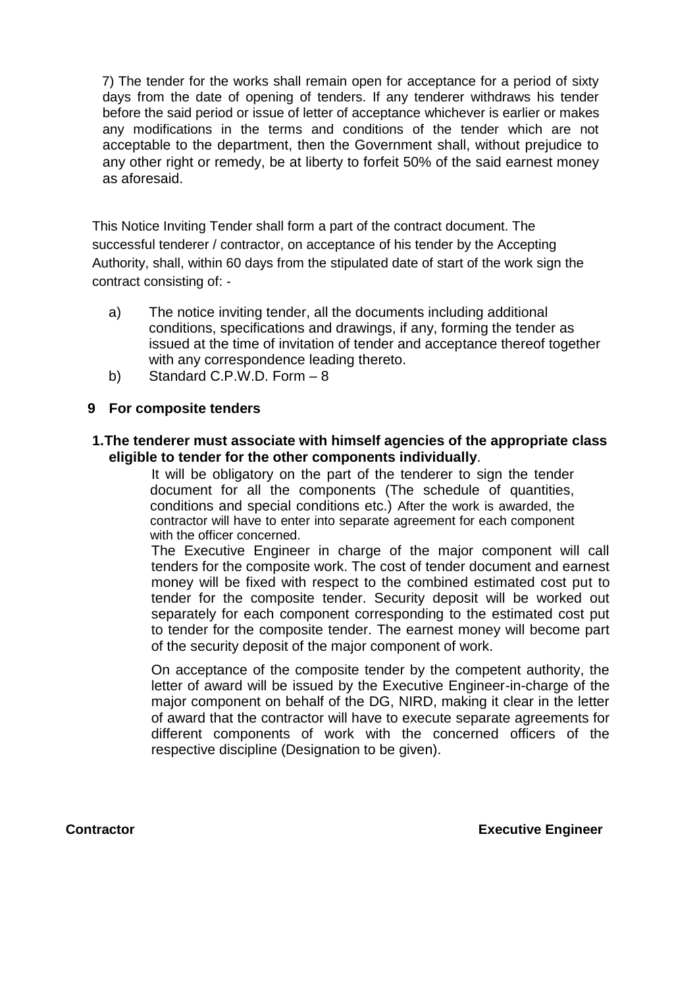7) The tender for the works shall remain open for acceptance for a period of sixty days from the date of opening of tenders. If any tenderer withdraws his tender before the said period or issue of letter of acceptance whichever is earlier or makes any modifications in the terms and conditions of the tender which are not acceptable to the department, then the Government shall, without prejudice to any other right or remedy, be at liberty to forfeit 50% of the said earnest money as aforesaid.

This Notice Inviting Tender shall form a part of the contract document. The successful tenderer / contractor, on acceptance of his tender by the Accepting Authority, shall, within 60 days from the stipulated date of start of the work sign the contract consisting of: -

- a) The notice inviting tender, all the documents including additional conditions, specifications and drawings, if any, forming the tender as issued at the time of invitation of tender and acceptance thereof together with any correspondence leading thereto.
- b) Standard C.P.W.D. Form 8

#### **9 For composite tenders**

#### **1.The tenderer must associate with himself agencies of the appropriate class eligible to tender for the other components individually**.

It will be obligatory on the part of the tenderer to sign the tender document for all the components (The schedule of quantities, conditions and special conditions etc.) After the work is awarded, the contractor will have to enter into separate agreement for each component with the officer concerned.

The Executive Engineer in charge of the major component will call tenders for the composite work. The cost of tender document and earnest money will be fixed with respect to the combined estimated cost put to tender for the composite tender. Security deposit will be worked out separately for each component corresponding to the estimated cost put to tender for the composite tender. The earnest money will become part of the security deposit of the major component of work.

On acceptance of the composite tender by the competent authority, the letter of award will be issued by the Executive Engineer-in-charge of the major component on behalf of the DG, NIRD, making it clear in the letter of award that the contractor will have to execute separate agreements for different components of work with the concerned officers of the respective discipline (Designation to be given).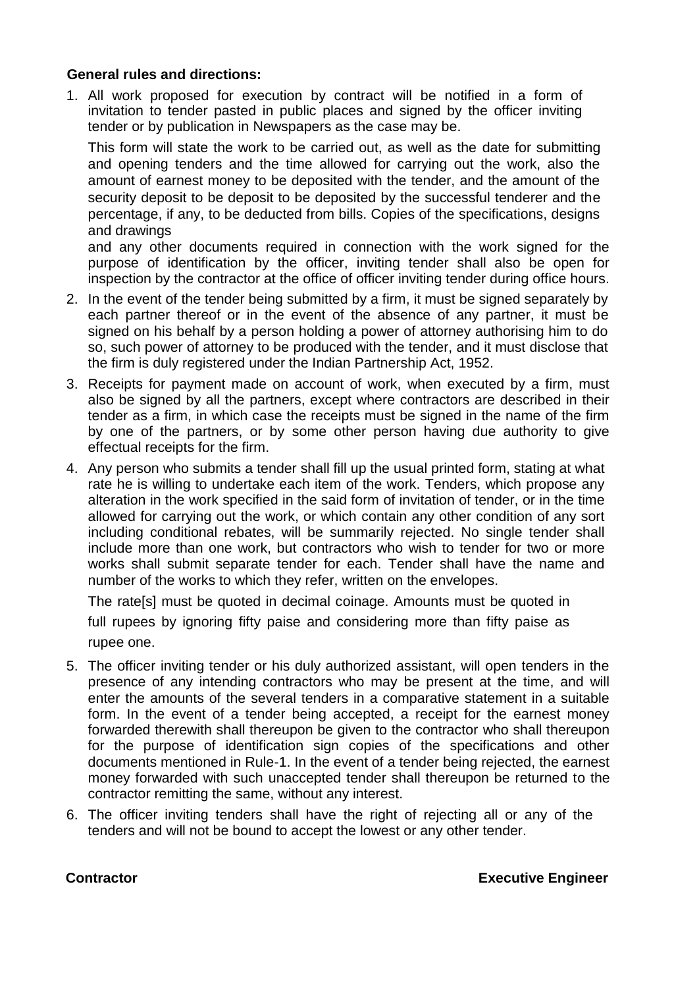#### **General rules and directions:**

1. All work proposed for execution by contract will be notified in a form of invitation to tender pasted in public places and signed by the officer inviting tender or by publication in Newspapers as the case may be.

This form will state the work to be carried out, as well as the date for submitting and opening tenders and the time allowed for carrying out the work, also the amount of earnest money to be deposited with the tender, and the amount of the security deposit to be deposit to be deposited by the successful tenderer and the percentage, if any, to be deducted from bills. Copies of the specifications, designs and drawings

and any other documents required in connection with the work signed for the purpose of identification by the officer, inviting tender shall also be open for inspection by the contractor at the office of officer inviting tender during office hours.

- 2. In the event of the tender being submitted by a firm, it must be signed separately by each partner thereof or in the event of the absence of any partner, it must be signed on his behalf by a person holding a power of attorney authorising him to do so, such power of attorney to be produced with the tender, and it must disclose that the firm is duly registered under the Indian Partnership Act, 1952.
- 3. Receipts for payment made on account of work, when executed by a firm, must also be signed by all the partners, except where contractors are described in their tender as a firm, in which case the receipts must be signed in the name of the firm by one of the partners, or by some other person having due authority to give effectual receipts for the firm.
- 4. Any person who submits a tender shall fill up the usual printed form, stating at what rate he is willing to undertake each item of the work. Tenders, which propose any alteration in the work specified in the said form of invitation of tender, or in the time allowed for carrying out the work, or which contain any other condition of any sort including conditional rebates, will be summarily rejected. No single tender shall include more than one work, but contractors who wish to tender for two or more works shall submit separate tender for each. Tender shall have the name and number of the works to which they refer, written on the envelopes.

The rate[s] must be quoted in decimal coinage. Amounts must be quoted in full rupees by ignoring fifty paise and considering more than fifty paise as rupee one.

- 5. The officer inviting tender or his duly authorized assistant, will open tenders in the presence of any intending contractors who may be present at the time, and will enter the amounts of the several tenders in a comparative statement in a suitable form. In the event of a tender being accepted, a receipt for the earnest money forwarded therewith shall thereupon be given to the contractor who shall thereupon for the purpose of identification sign copies of the specifications and other documents mentioned in Rule-1. In the event of a tender being rejected, the earnest money forwarded with such unaccepted tender shall thereupon be returned to the contractor remitting the same, without any interest.
- 6. The officer inviting tenders shall have the right of rejecting all or any of the tenders and will not be bound to accept the lowest or any other tender.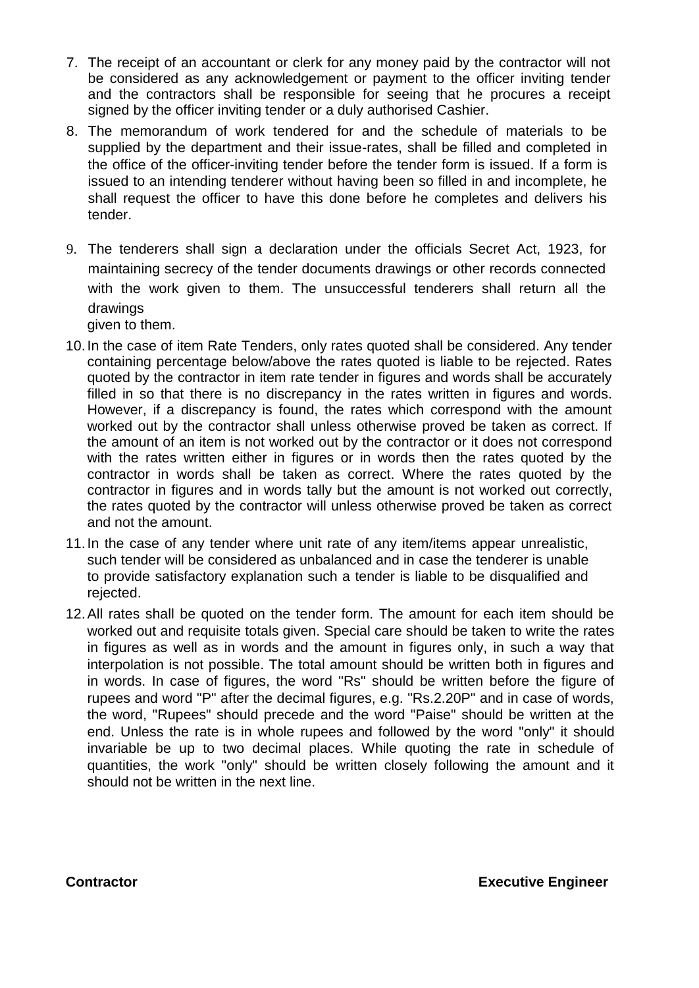- 7. The receipt of an accountant or clerk for any money paid by the contractor will not be considered as any acknowledgement or payment to the officer inviting tender and the contractors shall be responsible for seeing that he procures a receipt signed by the officer inviting tender or a duly authorised Cashier.
- 8. The memorandum of work tendered for and the schedule of materials to be supplied by the department and their issue-rates, shall be filled and completed in the office of the officer-inviting tender before the tender form is issued. If a form is issued to an intending tenderer without having been so filled in and incomplete, he shall request the officer to have this done before he completes and delivers his tender.
- 9. The tenderers shall sign a declaration under the officials Secret Act, 1923, for maintaining secrecy of the tender documents drawings or other records connected with the work given to them. The unsuccessful tenderers shall return all the drawings

given to them.

- 10.In the case of item Rate Tenders, only rates quoted shall be considered. Any tender containing percentage below/above the rates quoted is liable to be rejected. Rates quoted by the contractor in item rate tender in figures and words shall be accurately filled in so that there is no discrepancy in the rates written in figures and words. However, if a discrepancy is found, the rates which correspond with the amount worked out by the contractor shall unless otherwise proved be taken as correct. If the amount of an item is not worked out by the contractor or it does not correspond with the rates written either in figures or in words then the rates quoted by the contractor in words shall be taken as correct. Where the rates quoted by the contractor in figures and in words tally but the amount is not worked out correctly, the rates quoted by the contractor will unless otherwise proved be taken as correct and not the amount.
- 11.In the case of any tender where unit rate of any item/items appear unrealistic, such tender will be considered as unbalanced and in case the tenderer is unable to provide satisfactory explanation such a tender is liable to be disqualified and rejected.
- 12.All rates shall be quoted on the tender form. The amount for each item should be worked out and requisite totals given. Special care should be taken to write the rates in figures as well as in words and the amount in figures only, in such a way that interpolation is not possible. The total amount should be written both in figures and in words. In case of figures, the word "Rs" should be written before the figure of rupees and word "P" after the decimal figures, e.g. "Rs.2.20P" and in case of words, the word, "Rupees" should precede and the word "Paise" should be written at the end. Unless the rate is in whole rupees and followed by the word "only" it should invariable be up to two decimal places. While quoting the rate in schedule of quantities, the work "only" should be written closely following the amount and it should not be written in the next line.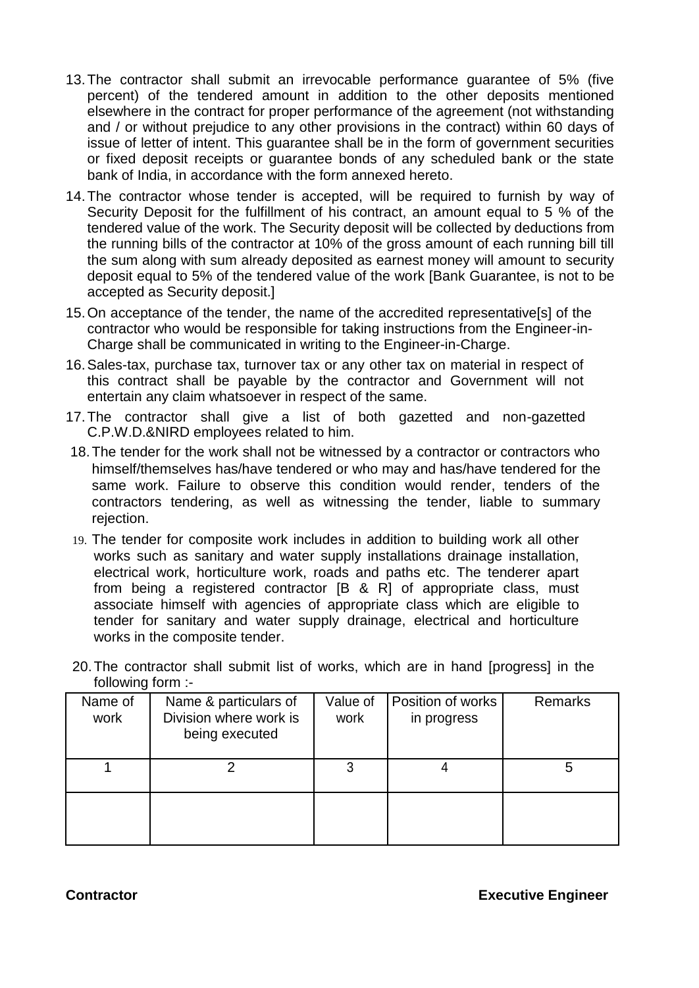- 13.The contractor shall submit an irrevocable performance guarantee of 5% (five percent) of the tendered amount in addition to the other deposits mentioned elsewhere in the contract for proper performance of the agreement (not withstanding and / or without prejudice to any other provisions in the contract) within 60 days of issue of letter of intent. This guarantee shall be in the form of government securities or fixed deposit receipts or guarantee bonds of any scheduled bank or the state bank of India, in accordance with the form annexed hereto.
- 14.The contractor whose tender is accepted, will be required to furnish by way of Security Deposit for the fulfillment of his contract, an amount equal to 5 % of the tendered value of the work. The Security deposit will be collected by deductions from the running bills of the contractor at 10% of the gross amount of each running bill till the sum along with sum already deposited as earnest money will amount to security deposit equal to 5% of the tendered value of the work [Bank Guarantee, is not to be accepted as Security deposit.]
- 15.On acceptance of the tender, the name of the accredited representative[s] of the contractor who would be responsible for taking instructions from the Engineer-in-Charge shall be communicated in writing to the Engineer-in-Charge.
- 16.Sales-tax, purchase tax, turnover tax or any other tax on material in respect of this contract shall be payable by the contractor and Government will not entertain any claim whatsoever in respect of the same.
- 17.The contractor shall give a list of both gazetted and non-gazetted C.P.W.D.&NIRD employees related to him.
- 18.The tender for the work shall not be witnessed by a contractor or contractors who himself/themselves has/have tendered or who may and has/have tendered for the same work. Failure to observe this condition would render, tenders of the contractors tendering, as well as witnessing the tender, liable to summary rejection.
- 19. The tender for composite work includes in addition to building work all other works such as sanitary and water supply installations drainage installation, electrical work, horticulture work, roads and paths etc. The tenderer apart from being a registered contractor [B & R] of appropriate class, must associate himself with agencies of appropriate class which are eligible to tender for sanitary and water supply drainage, electrical and horticulture works in the composite tender.
- 20.The contractor shall submit list of works, which are in hand [progress] in the following form :-

| Name of<br>work | Name & particulars of<br>Division where work is<br>being executed | Value of<br>work | Position of works<br>in progress | <b>Remarks</b> |
|-----------------|-------------------------------------------------------------------|------------------|----------------------------------|----------------|
|                 |                                                                   |                  |                                  | 5              |
|                 |                                                                   |                  |                                  |                |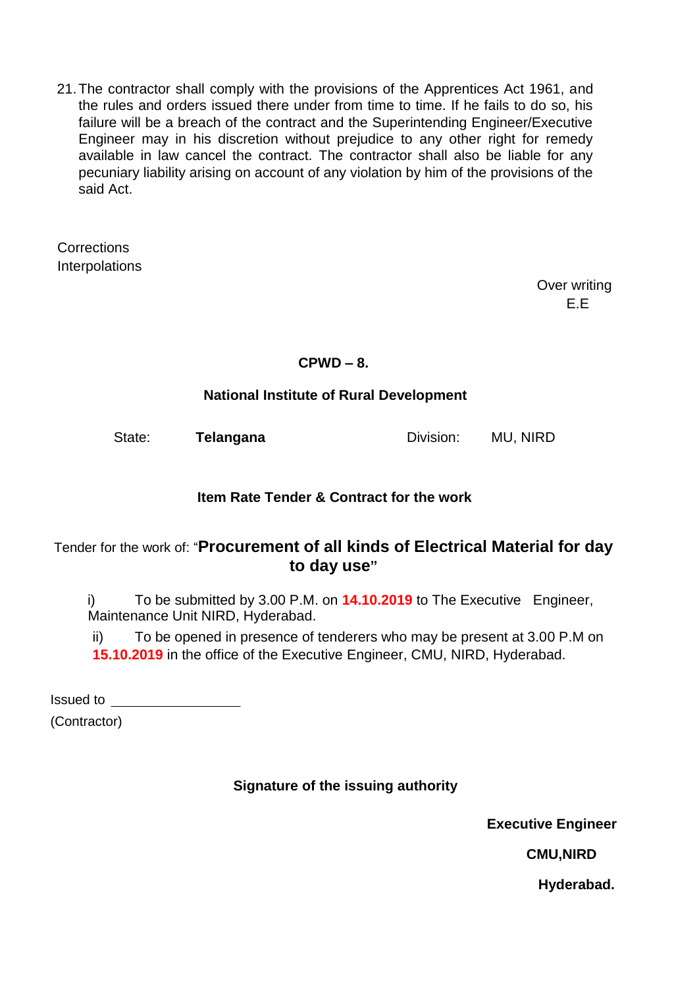21.The contractor shall comply with the provisions of the Apprentices Act 1961, and the rules and orders issued there under from time to time. If he fails to do so, his failure will be a breach of the contract and the Superintending Engineer/Executive Engineer may in his discretion without prejudice to any other right for remedy available in law cancel the contract. The contractor shall also be liable for any pecuniary liability arising on account of any violation by him of the provisions of the said Act.

**Corrections Interpolations** 

> Over writing E.E

# **CPWD – 8.**

# **National Institute of Rural Development**

State: **Telangana Division:** MU, NIRD

# **Item Rate Tender & Contract for the work**

# Tender for the work of: "**Procurement of all kinds of Electrical Material for day to day use"**

i) To be submitted by 3.00 P.M. on **14.10.2019** to The Executive Engineer, Maintenance Unit NIRD, Hyderabad.

ii) To be opened in presence of tenderers who may be present at 3.00 P.M on **15.10.2019** in the office of the Executive Engineer, CMU, NIRD, Hyderabad.

Issued to

(Contractor)

# **Signature of the issuing authority**

**Executive Engineer**

**CMU,NIRD**

**Hyderabad.**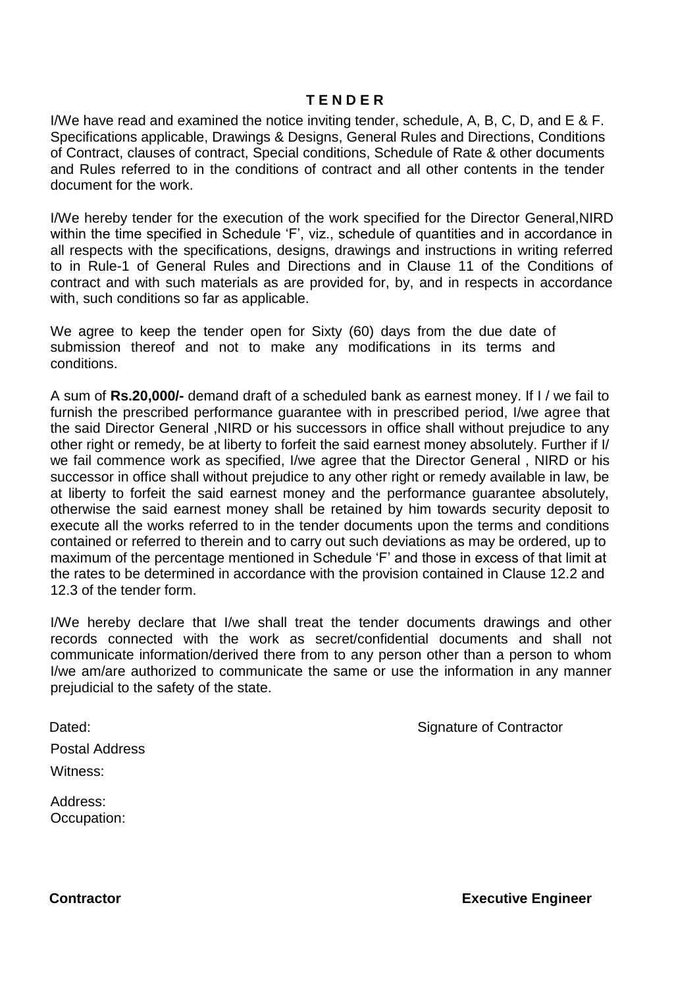#### **T E N D E R**

I/We have read and examined the notice inviting tender, schedule, A, B, C, D, and E & F. Specifications applicable, Drawings & Designs, General Rules and Directions, Conditions of Contract, clauses of contract, Special conditions, Schedule of Rate & other documents and Rules referred to in the conditions of contract and all other contents in the tender document for the work.

I/We hereby tender for the execution of the work specified for the Director General,NIRD within the time specified in Schedule 'F', viz., schedule of quantities and in accordance in all respects with the specifications, designs, drawings and instructions in writing referred to in Rule-1 of General Rules and Directions and in Clause 11 of the Conditions of contract and with such materials as are provided for, by, and in respects in accordance with, such conditions so far as applicable.

We agree to keep the tender open for Sixty (60) days from the due date of submission thereof and not to make any modifications in its terms and conditions.

A sum of **Rs.20,000/-** demand draft of a scheduled bank as earnest money. If I / we fail to furnish the prescribed performance guarantee with in prescribed period, I/we agree that the said Director General ,NIRD or his successors in office shall without prejudice to any other right or remedy, be at liberty to forfeit the said earnest money absolutely. Further if I/ we fail commence work as specified, I/we agree that the Director General , NIRD or his successor in office shall without prejudice to any other right or remedy available in law, be at liberty to forfeit the said earnest money and the performance guarantee absolutely, otherwise the said earnest money shall be retained by him towards security deposit to execute all the works referred to in the tender documents upon the terms and conditions contained or referred to therein and to carry out such deviations as may be ordered, up to maximum of the percentage mentioned in Schedule 'F' and those in excess of that limit at the rates to be determined in accordance with the provision contained in Clause 12.2 and 12.3 of the tender form.

I/We hereby declare that I/we shall treat the tender documents drawings and other records connected with the work as secret/confidential documents and shall not communicate information/derived there from to any person other than a person to whom I/we am/are authorized to communicate the same or use the information in any manner prejudicial to the safety of the state.

Dated: Dated: Signature of Contractor

Postal Address

Witness:

Address: Occupation: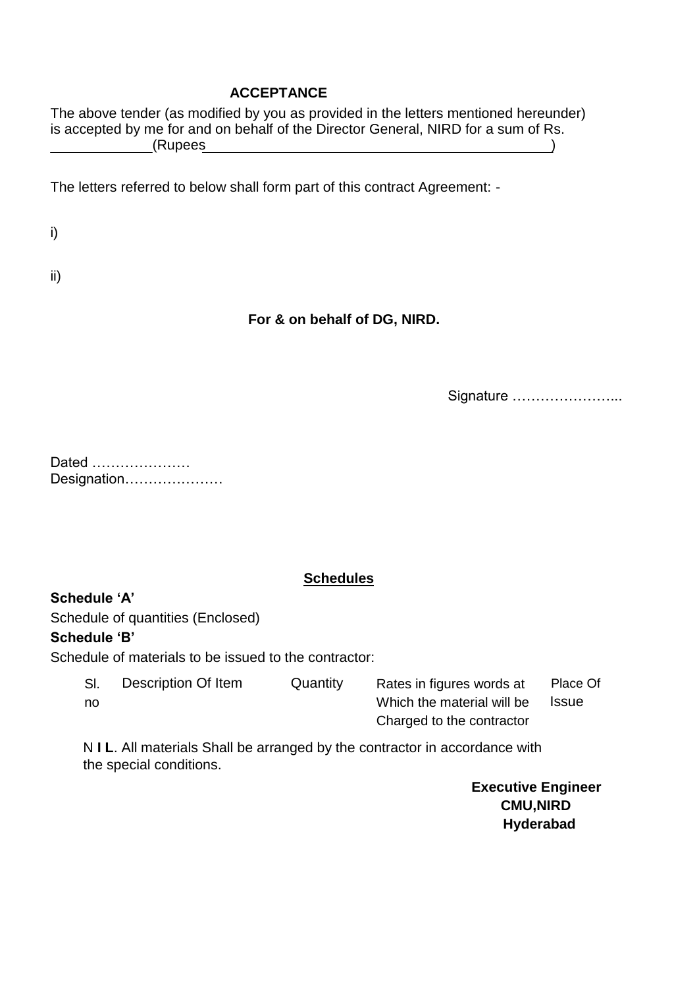#### **ACCEPTANCE**

The above tender (as modified by you as provided in the letters mentioned hereunder) is accepted by me for and on behalf of the Director General, NIRD for a sum of Rs. (Rupees )

The letters referred to below shall form part of this contract Agreement: -

i)

ii)

# **For & on behalf of DG, NIRD.**

Signature …………………...

Dated ………………… Designation…………………

### **Schedules**

### **Schedule 'A'**

Schedule of quantities (Enclosed)

### **Schedule 'B'**

Schedule of materials to be issued to the contractor:

| SI. | Description Of Item | Quantity | Rates in figures words at  | Place Of     |
|-----|---------------------|----------|----------------------------|--------------|
| no  |                     |          | Which the material will be | <b>Issue</b> |
|     |                     |          | Charged to the contractor  |              |

N **I L**. All materials Shall be arranged by the contractor in accordance with the special conditions.

> **Executive Engineer CMU,NIRD Hyderabad**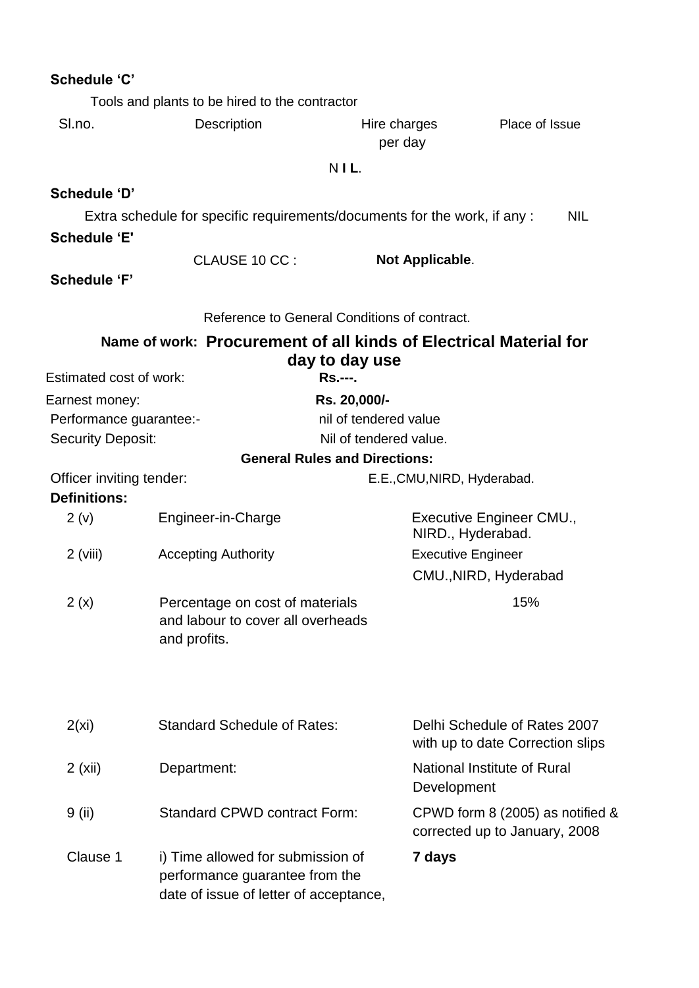| Schedule 'C'                                                                                 |                                                                                                               |                                              |                                                                   |
|----------------------------------------------------------------------------------------------|---------------------------------------------------------------------------------------------------------------|----------------------------------------------|-------------------------------------------------------------------|
|                                                                                              | Tools and plants to be hired to the contractor                                                                |                                              |                                                                   |
| SI.no.                                                                                       | Description                                                                                                   | Hire charges<br>per day                      | Place of Issue                                                    |
|                                                                                              |                                                                                                               | NIL.                                         |                                                                   |
| Schedule 'D'                                                                                 |                                                                                                               |                                              |                                                                   |
| <b>Schedule 'E'</b>                                                                          | Extra schedule for specific requirements/documents for the work, if any :                                     |                                              | <b>NIL</b>                                                        |
| <b>Schedule 'F'</b>                                                                          | CLAUSE 10 CC:                                                                                                 | Not Applicable.                              |                                                                   |
|                                                                                              |                                                                                                               | Reference to General Conditions of contract. |                                                                   |
|                                                                                              | Name of work: Procurement of all kinds of Electrical Material for                                             | day to day use                               |                                                                   |
| <b>Estimated cost of work:</b>                                                               |                                                                                                               | <b>Rs.---.</b>                               |                                                                   |
| Earnest money:                                                                               |                                                                                                               | Rs. 20,000/-                                 |                                                                   |
| Performance guarantee:-                                                                      |                                                                                                               | nil of tendered value                        |                                                                   |
| <b>Security Deposit:</b>                                                                     |                                                                                                               | Nil of tendered value.                       |                                                                   |
| Officer inviting tender:                                                                     |                                                                                                               | <b>General Rules and Directions:</b>         |                                                                   |
| <b>Definitions:</b>                                                                          |                                                                                                               | E.E., CMU, NIRD, Hyderabad.                  |                                                                   |
| 2(v)                                                                                         | Engineer-in-Charge                                                                                            |                                              | Executive Engineer CMU.,<br>NIRD., Hyderabad.                     |
| $2$ (viii)                                                                                   | <b>Accepting Authority</b>                                                                                    |                                              | <b>Executive Engineer</b>                                         |
|                                                                                              |                                                                                                               |                                              | CMU., NIRD, Hyderabad                                             |
| 2(x)<br>Percentage on cost of materials<br>and labour to cover all overheads<br>and profits. |                                                                                                               |                                              | 15%                                                               |
| 2(xi)                                                                                        | <b>Standard Schedule of Rates:</b>                                                                            |                                              | Delhi Schedule of Rates 2007<br>with up to date Correction slips  |
| 2(xii)                                                                                       | Department:                                                                                                   | Development                                  | National Institute of Rural                                       |
| 9 (ii)                                                                                       | <b>Standard CPWD contract Form:</b>                                                                           |                                              | CPWD form 8 (2005) as notified &<br>corrected up to January, 2008 |
| Clause 1                                                                                     | i) Time allowed for submission of<br>performance guarantee from the<br>date of issue of letter of acceptance, | 7 days                                       |                                                                   |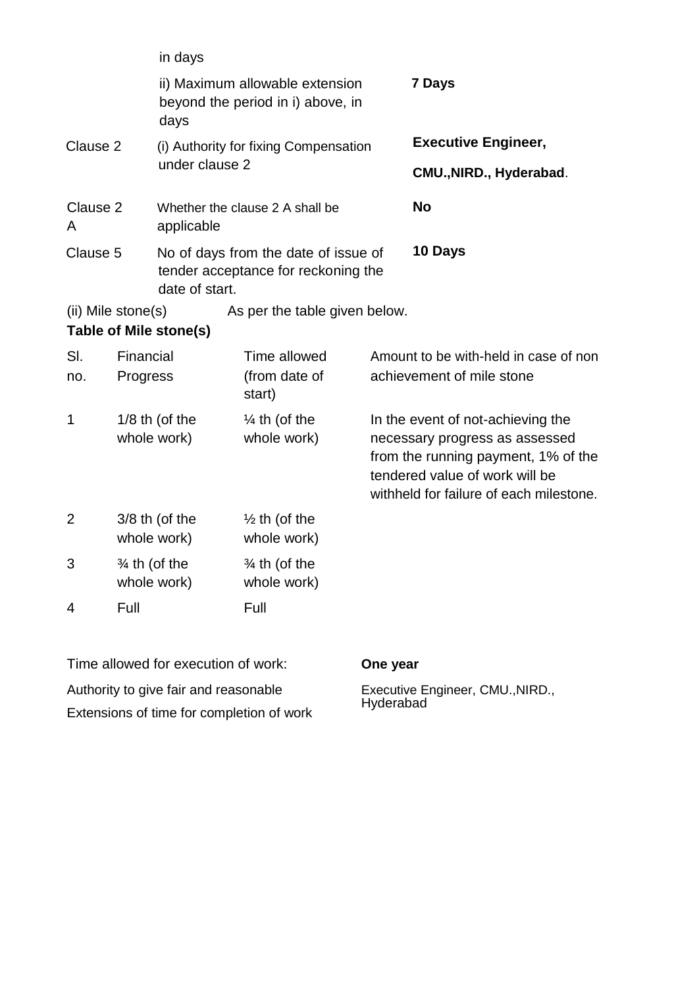|                                              |                          | in days                         |                                                                             |                                                                                                                                                                                         |                            |
|----------------------------------------------|--------------------------|---------------------------------|-----------------------------------------------------------------------------|-----------------------------------------------------------------------------------------------------------------------------------------------------------------------------------------|----------------------------|
|                                              |                          | days                            | ii) Maximum allowable extension<br>beyond the period in i) above, in        |                                                                                                                                                                                         | <b>7 Days</b>              |
| Clause 2                                     |                          |                                 | (i) Authority for fixing Compensation                                       |                                                                                                                                                                                         | <b>Executive Engineer,</b> |
|                                              |                          | under clause 2                  |                                                                             |                                                                                                                                                                                         | CMU., NIRD., Hyderabad.    |
| Clause 2<br>A                                |                          | applicable                      | Whether the clause 2 A shall be                                             |                                                                                                                                                                                         | <b>No</b>                  |
| Clause 5<br>date of start.                   |                          |                                 | No of days from the date of issue of<br>tender acceptance for reckoning the |                                                                                                                                                                                         | 10 Days                    |
| (ii) Mile stone(s)<br>Table of Mile stone(s) |                          |                                 | As per the table given below.                                               |                                                                                                                                                                                         |                            |
| SI.<br>no.                                   | Financial<br>Progress    |                                 | Time allowed<br>(from date of<br>start)                                     | Amount to be with-held in case of non<br>achievement of mile stone                                                                                                                      |                            |
| 1                                            |                          | $1/8$ th (of the<br>whole work) | $\frac{1}{4}$ th (of the<br>whole work)                                     | In the event of not-achieving the<br>necessary progress as assessed<br>from the running payment, 1% of the<br>tendered value of work will be<br>withheld for failure of each milestone. |                            |
| $\overline{2}$                               |                          | $3/8$ th (of the<br>whole work) | $\frac{1}{2}$ th (of the<br>whole work)                                     |                                                                                                                                                                                         |                            |
| 3                                            | $\frac{3}{4}$ th (of the | whole work)                     | $\frac{3}{4}$ th (of the<br>whole work)                                     |                                                                                                                                                                                         |                            |
| 4                                            | Full                     |                                 | Full                                                                        |                                                                                                                                                                                         |                            |

Time allowed for execution of work: **One year** Authority to give fair and reasonable Extensions of time for completion of work

Executive Engineer, CMU., NIRD.,<br>Hyderabad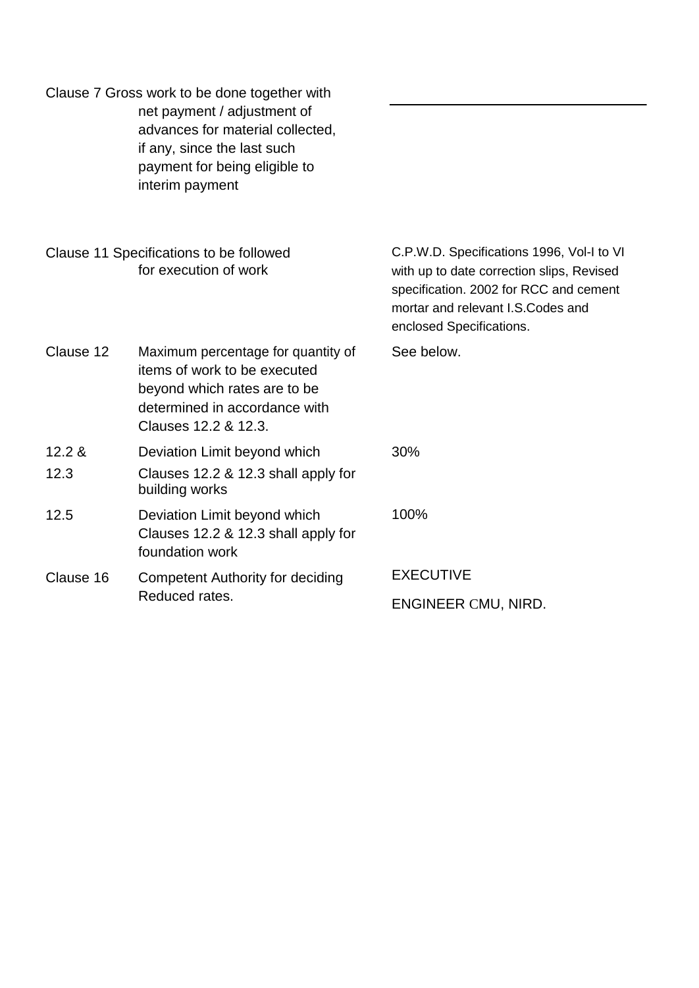|                | Clause 7 Gross work to be done together with<br>net payment / adjustment of<br>advances for material collected,<br>if any, since the last such<br>payment for being eligible to<br>interim payment |                                                                                                                                                                                                    |
|----------------|----------------------------------------------------------------------------------------------------------------------------------------------------------------------------------------------------|----------------------------------------------------------------------------------------------------------------------------------------------------------------------------------------------------|
|                | Clause 11 Specifications to be followed<br>for execution of work                                                                                                                                   | C.P.W.D. Specifications 1996, Vol-I to VI<br>with up to date correction slips, Revised<br>specification. 2002 for RCC and cement<br>mortar and relevant I.S. Codes and<br>enclosed Specifications. |
| Clause 12      | Maximum percentage for quantity of<br>items of work to be executed<br>beyond which rates are to be<br>determined in accordance with<br>Clauses 12.2 & 12.3.                                        | See below.                                                                                                                                                                                         |
| 12.2 &<br>12.3 | Deviation Limit beyond which<br>Clauses 12.2 & 12.3 shall apply for<br>building works                                                                                                              | 30%                                                                                                                                                                                                |
| 12.5           | Deviation Limit beyond which<br>Clauses 12.2 & 12.3 shall apply for<br>foundation work                                                                                                             | 100%                                                                                                                                                                                               |
| Clause 16      | <b>Competent Authority for deciding</b>                                                                                                                                                            | <b>EXECUTIVE</b>                                                                                                                                                                                   |
|                | Reduced rates.                                                                                                                                                                                     | ENGINEER CMU, NIRD.                                                                                                                                                                                |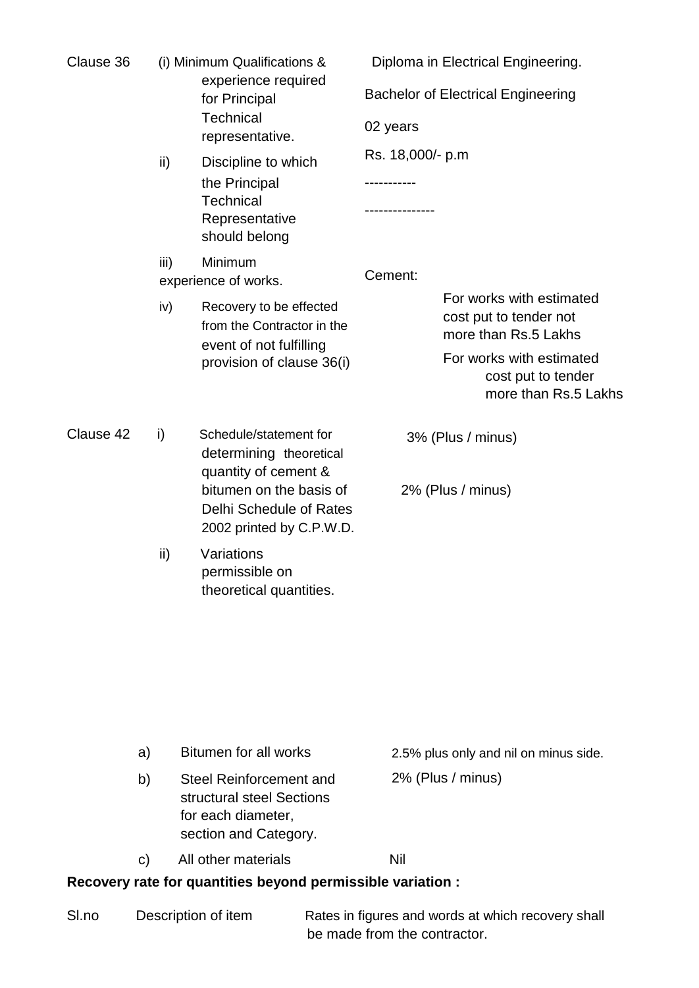| Clause 36 |      | (i) Minimum Qualifications &<br>experience required<br>for Principal<br>Technical<br>representative.<br>Discipline to which<br>the Principal<br>Technical<br>Representative<br>should belong |                                           | Diploma in Electrical Engineering.                                         |  |
|-----------|------|----------------------------------------------------------------------------------------------------------------------------------------------------------------------------------------------|-------------------------------------------|----------------------------------------------------------------------------|--|
|           |      |                                                                                                                                                                                              | <b>Bachelor of Electrical Engineering</b> |                                                                            |  |
|           |      |                                                                                                                                                                                              | 02 years                                  |                                                                            |  |
|           | ii)  |                                                                                                                                                                                              | Rs. 18,000/- p.m                          |                                                                            |  |
|           |      |                                                                                                                                                                                              |                                           |                                                                            |  |
|           | iii) | Minimum<br>experience of works.                                                                                                                                                              | Cement:                                   |                                                                            |  |
|           | iv)  | Recovery to be effected<br>from the Contractor in the<br>event of not fulfilling<br>provision of clause 36(i)                                                                                |                                           | For works with estimated<br>cost put to tender not<br>more than Rs.5 Lakhs |  |
|           |      |                                                                                                                                                                                              |                                           | For works with estimated<br>cost put to tender<br>more than Rs.5 Lakhs     |  |
| Clause 42 | i)   | Schedule/statement for<br>determining theoretical<br>quantity of cement &                                                                                                                    |                                           | 3% (Plus / minus)                                                          |  |
|           | ii)  | bitumen on the basis of<br>Delhi Schedule of Rates<br>2002 printed by C.P.W.D.                                                                                                               | 2% (Plus / minus)                         |                                                                            |  |
|           |      | Variations<br>permissible on<br>theoretical quantities.                                                                                                                                      |                                           |                                                                            |  |
|           |      |                                                                                                                                                                                              |                                           |                                                                            |  |
|           |      |                                                                                                                                                                                              |                                           |                                                                            |  |
|           |      |                                                                                                                                                                                              |                                           |                                                                            |  |

| a)         | Bitumen for all works                                                                               | 2.5% plus only and nil on minus side. |
|------------|-----------------------------------------------------------------------------------------------------|---------------------------------------|
| b)         | Steel Reinforcement and<br>structural steel Sections<br>for each diameter,<br>section and Category. | 2% (Plus / minus)                     |
| $\vert$ C) | All other materials                                                                                 | Nil                                   |

# **Recovery rate for quantities beyond permissible variation :**

| Sl.no | Description of item | Rates in figures and words at which recovery shall |  |  |
|-------|---------------------|----------------------------------------------------|--|--|
|       |                     | be made from the contractor.                       |  |  |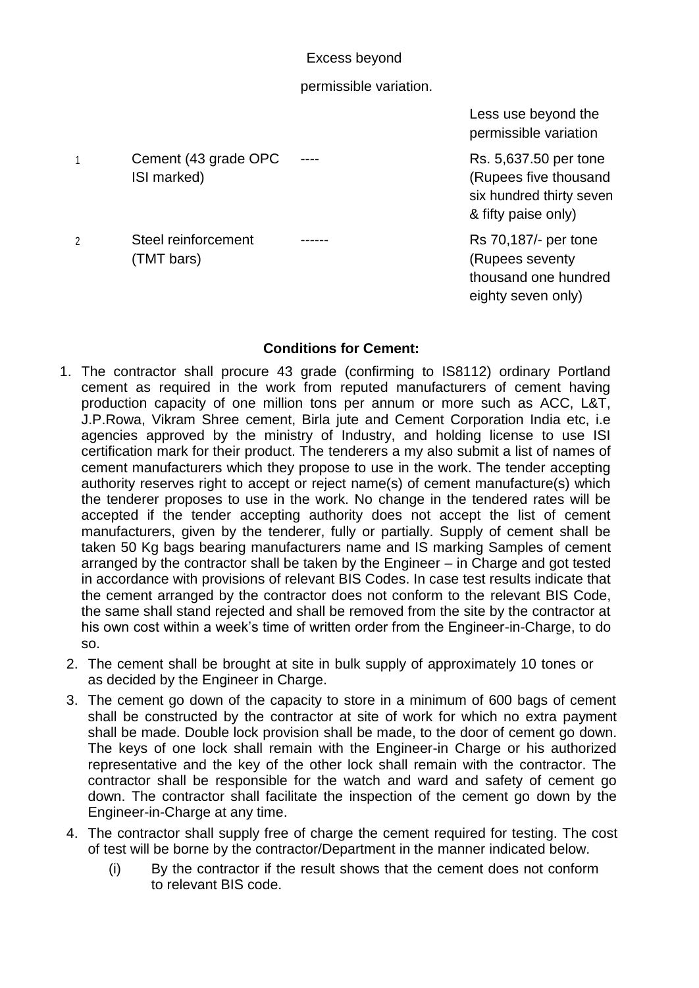Excess beyond

#### permissible variation.

1 Cement (43 grade OPC ---- Rs. 5,637.50 per tone ISI marked) (Rupees five thousand

2 Steel reinforcement ------<br>Rs 70,187/- per tone (TMT bars) (TMT bars)

Less use beyond the permissible variation

six hundred thirty seven & fifty paise only)

thousand one hundred eighty seven only)

#### **Conditions for Cement:**

- 1. The contractor shall procure 43 grade (confirming to IS8112) ordinary Portland cement as required in the work from reputed manufacturers of cement having production capacity of one million tons per annum or more such as ACC, L&T, J.P.Rowa, Vikram Shree cement, Birla jute and Cement Corporation India etc, i.e agencies approved by the ministry of Industry, and holding license to use ISI certification mark for their product. The tenderers a my also submit a list of names of cement manufacturers which they propose to use in the work. The tender accepting authority reserves right to accept or reject name(s) of cement manufacture(s) which the tenderer proposes to use in the work. No change in the tendered rates will be accepted if the tender accepting authority does not accept the list of cement manufacturers, given by the tenderer, fully or partially. Supply of cement shall be taken 50 Kg bags bearing manufacturers name and IS marking Samples of cement arranged by the contractor shall be taken by the Engineer – in Charge and got tested in accordance with provisions of relevant BIS Codes. In case test results indicate that the cement arranged by the contractor does not conform to the relevant BIS Code, the same shall stand rejected and shall be removed from the site by the contractor at his own cost within a week's time of written order from the Engineer-in-Charge, to do so.
- 2. The cement shall be brought at site in bulk supply of approximately 10 tones or as decided by the Engineer in Charge.
- 3. The cement go down of the capacity to store in a minimum of 600 bags of cement shall be constructed by the contractor at site of work for which no extra payment shall be made. Double lock provision shall be made, to the door of cement go down. The keys of one lock shall remain with the Engineer-in Charge or his authorized representative and the key of the other lock shall remain with the contractor. The contractor shall be responsible for the watch and ward and safety of cement go down. The contractor shall facilitate the inspection of the cement go down by the Engineer-in-Charge at any time.
- 4. The contractor shall supply free of charge the cement required for testing. The cost of test will be borne by the contractor/Department in the manner indicated below.
	- (i) By the contractor if the result shows that the cement does not conform to relevant BIS code.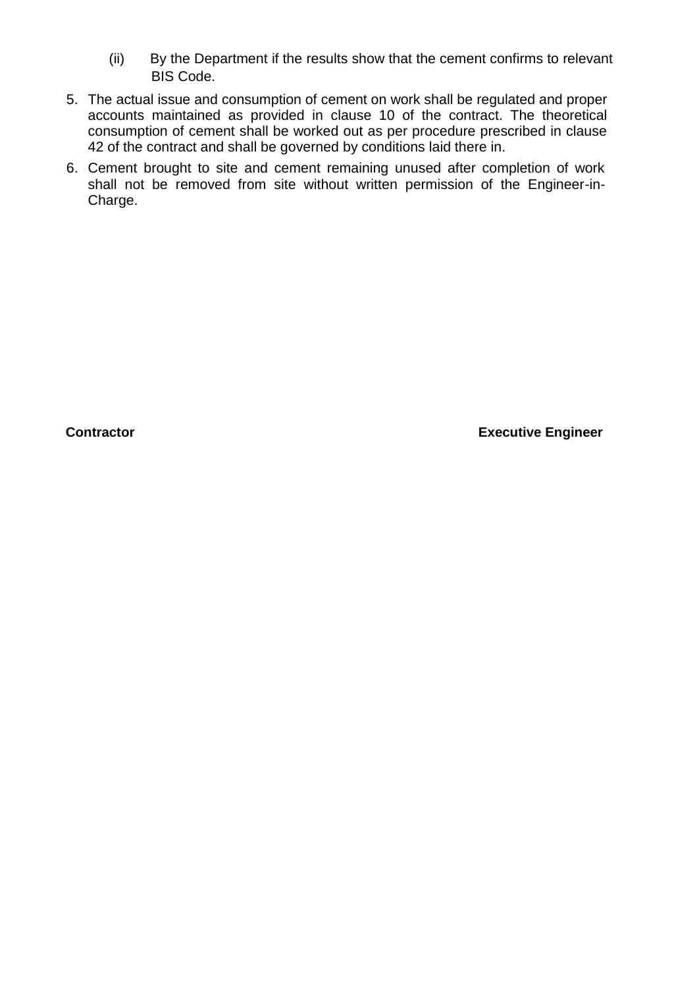- (ii) By the Department if the results show that the cement confirms to relevant BIS Code.
- 5. The actual issue and consumption of cement on work shall be regulated and proper accounts maintained as provided in clause 10 of the contract. The theoretical consumption of cement shall be worked out as per procedure prescribed in clause 42 of the contract and shall be governed by conditions laid there in.
- 6. Cement brought to site and cement remaining unused after completion of work shall not be removed from site without written permission of the Engineer-in-Charge.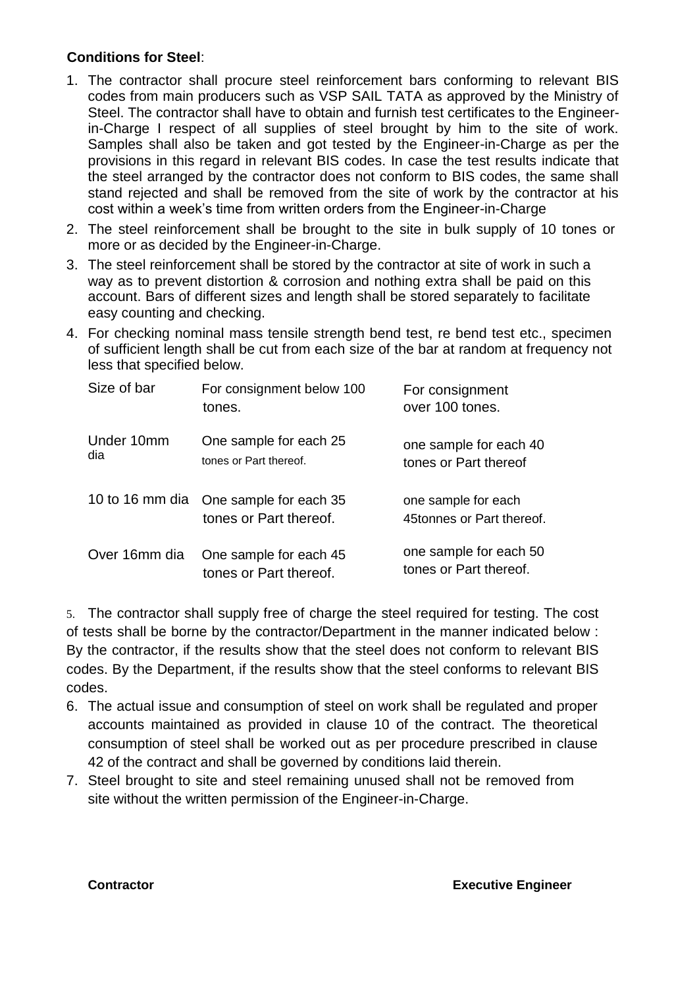#### **Conditions for Steel**:

- 1. The contractor shall procure steel reinforcement bars conforming to relevant BIS codes from main producers such as VSP SAIL TATA as approved by the Ministry of Steel. The contractor shall have to obtain and furnish test certificates to the Engineerin-Charge I respect of all supplies of steel brought by him to the site of work. Samples shall also be taken and got tested by the Engineer-in-Charge as per the provisions in this regard in relevant BIS codes. In case the test results indicate that the steel arranged by the contractor does not conform to BIS codes, the same shall stand rejected and shall be removed from the site of work by the contractor at his cost within a week's time from written orders from the Engineer-in-Charge
- 2. The steel reinforcement shall be brought to the site in bulk supply of 10 tones or more or as decided by the Engineer-in-Charge.
- 3. The steel reinforcement shall be stored by the contractor at site of work in such a way as to prevent distortion & corrosion and nothing extra shall be paid on this account. Bars of different sizes and length shall be stored separately to facilitate easy counting and checking.
- 4. For checking nominal mass tensile strength bend test, re bend test etc., specimen of sufficient length shall be cut from each size of the bar at random at frequency not less that specified below.

| Size of bar       | For consignment below 100<br>tones.                              | For consignment<br>over 100 tones.               |
|-------------------|------------------------------------------------------------------|--------------------------------------------------|
| Under 10mm<br>dia | One sample for each 25<br>tones or Part thereof.                 | one sample for each 40<br>tones or Part thereof  |
|                   | 10 to 16 mm dia One sample for each 35<br>tones or Part thereof. | one sample for each<br>45tonnes or Part thereof. |
| Over 16mm dia     | One sample for each 45<br>tones or Part thereof.                 | one sample for each 50<br>tones or Part thereof. |

5. The contractor shall supply free of charge the steel required for testing. The cost of tests shall be borne by the contractor/Department in the manner indicated below : By the contractor, if the results show that the steel does not conform to relevant BIS codes. By the Department, if the results show that the steel conforms to relevant BIS codes.

- 6. The actual issue and consumption of steel on work shall be regulated and proper accounts maintained as provided in clause 10 of the contract. The theoretical consumption of steel shall be worked out as per procedure prescribed in clause 42 of the contract and shall be governed by conditions laid therein.
- 7. Steel brought to site and steel remaining unused shall not be removed from site without the written permission of the Engineer-in-Charge.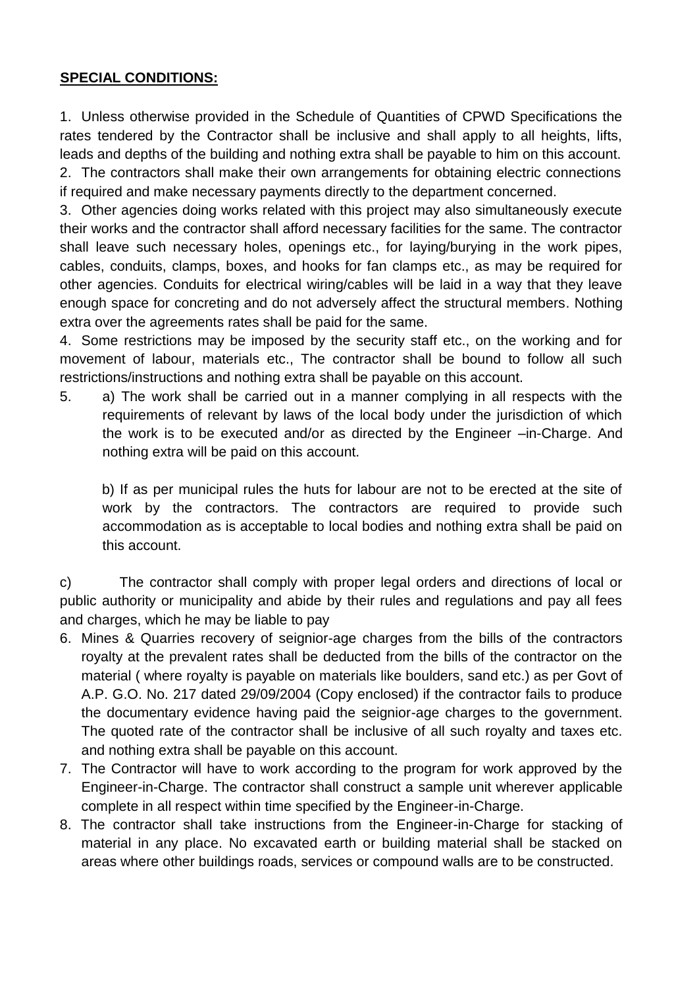## **SPECIAL CONDITIONS:**

1. Unless otherwise provided in the Schedule of Quantities of CPWD Specifications the rates tendered by the Contractor shall be inclusive and shall apply to all heights, lifts, leads and depths of the building and nothing extra shall be payable to him on this account. 2. The contractors shall make their own arrangements for obtaining electric connections if required and make necessary payments directly to the department concerned.

3. Other agencies doing works related with this project may also simultaneously execute their works and the contractor shall afford necessary facilities for the same. The contractor shall leave such necessary holes, openings etc., for laying/burying in the work pipes, cables, conduits, clamps, boxes, and hooks for fan clamps etc., as may be required for other agencies. Conduits for electrical wiring/cables will be laid in a way that they leave enough space for concreting and do not adversely affect the structural members. Nothing extra over the agreements rates shall be paid for the same.

4. Some restrictions may be imposed by the security staff etc., on the working and for movement of labour, materials etc., The contractor shall be bound to follow all such restrictions/instructions and nothing extra shall be payable on this account.

5. a) The work shall be carried out in a manner complying in all respects with the requirements of relevant by laws of the local body under the jurisdiction of which the work is to be executed and/or as directed by the Engineer –in-Charge. And nothing extra will be paid on this account.

b) If as per municipal rules the huts for labour are not to be erected at the site of work by the contractors. The contractors are required to provide such accommodation as is acceptable to local bodies and nothing extra shall be paid on this account.

c) The contractor shall comply with proper legal orders and directions of local or public authority or municipality and abide by their rules and regulations and pay all fees and charges, which he may be liable to pay

- 6. Mines & Quarries recovery of seignior-age charges from the bills of the contractors royalty at the prevalent rates shall be deducted from the bills of the contractor on the material ( where royalty is payable on materials like boulders, sand etc.) as per Govt of A.P. G.O. No. 217 dated 29/09/2004 (Copy enclosed) if the contractor fails to produce the documentary evidence having paid the seignior-age charges to the government. The quoted rate of the contractor shall be inclusive of all such royalty and taxes etc. and nothing extra shall be payable on this account.
- 7. The Contractor will have to work according to the program for work approved by the Engineer-in-Charge. The contractor shall construct a sample unit wherever applicable complete in all respect within time specified by the Engineer-in-Charge.
- 8. The contractor shall take instructions from the Engineer-in-Charge for stacking of material in any place. No excavated earth or building material shall be stacked on areas where other buildings roads, services or compound walls are to be constructed.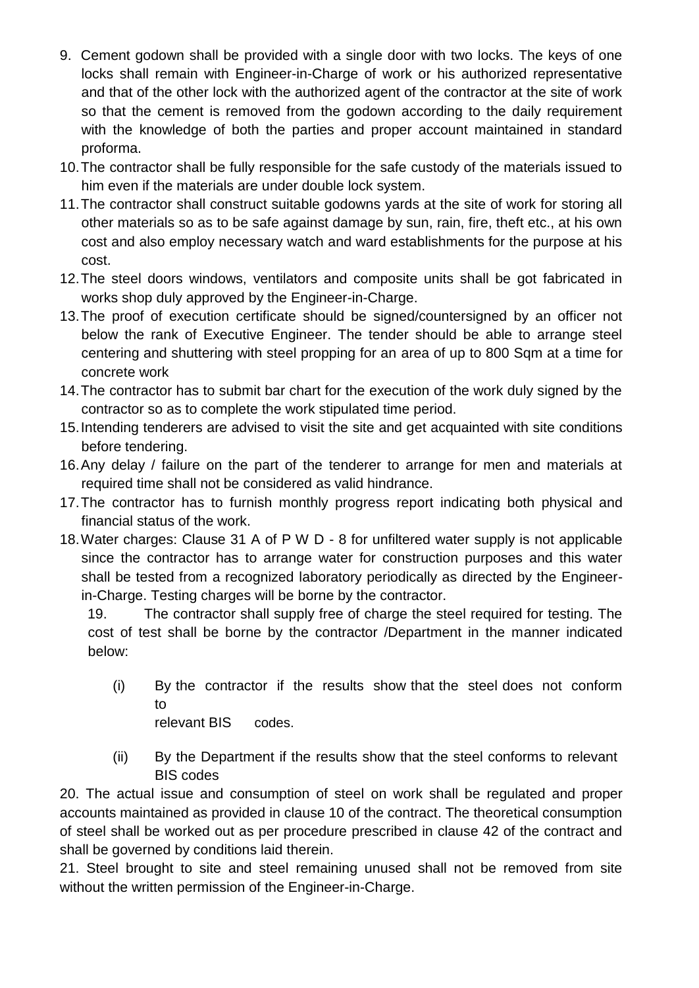- 9. Cement godown shall be provided with a single door with two locks. The keys of one locks shall remain with Engineer-in-Charge of work or his authorized representative and that of the other lock with the authorized agent of the contractor at the site of work so that the cement is removed from the godown according to the daily requirement with the knowledge of both the parties and proper account maintained in standard proforma.
- 10.The contractor shall be fully responsible for the safe custody of the materials issued to him even if the materials are under double lock system.
- 11.The contractor shall construct suitable godowns yards at the site of work for storing all other materials so as to be safe against damage by sun, rain, fire, theft etc., at his own cost and also employ necessary watch and ward establishments for the purpose at his cost.
- 12.The steel doors windows, ventilators and composite units shall be got fabricated in works shop duly approved by the Engineer-in-Charge.
- 13.The proof of execution certificate should be signed/countersigned by an officer not below the rank of Executive Engineer. The tender should be able to arrange steel centering and shuttering with steel propping for an area of up to 800 Sqm at a time for concrete work
- 14.The contractor has to submit bar chart for the execution of the work duly signed by the contractor so as to complete the work stipulated time period.
- 15.Intending tenderers are advised to visit the site and get acquainted with site conditions before tendering.
- 16.Any delay / failure on the part of the tenderer to arrange for men and materials at required time shall not be considered as valid hindrance.
- 17.The contractor has to furnish monthly progress report indicating both physical and financial status of the work.
- 18.Water charges: Clause 31 A of P W D 8 for unfiltered water supply is not applicable since the contractor has to arrange water for construction purposes and this water shall be tested from a recognized laboratory periodically as directed by the Engineerin-Charge. Testing charges will be borne by the contractor.

19. The contractor shall supply free of charge the steel required for testing. The cost of test shall be borne by the contractor /Department in the manner indicated below:

- (i) By the contractor if the results show that the steel does not conform to relevant BIS codes.
- (ii) By the Department if the results show that the steel conforms to relevant BIS codes

20. The actual issue and consumption of steel on work shall be regulated and proper accounts maintained as provided in clause 10 of the contract. The theoretical consumption of steel shall be worked out as per procedure prescribed in clause 42 of the contract and shall be governed by conditions laid therein.

21. Steel brought to site and steel remaining unused shall not be removed from site without the written permission of the Engineer-in-Charge.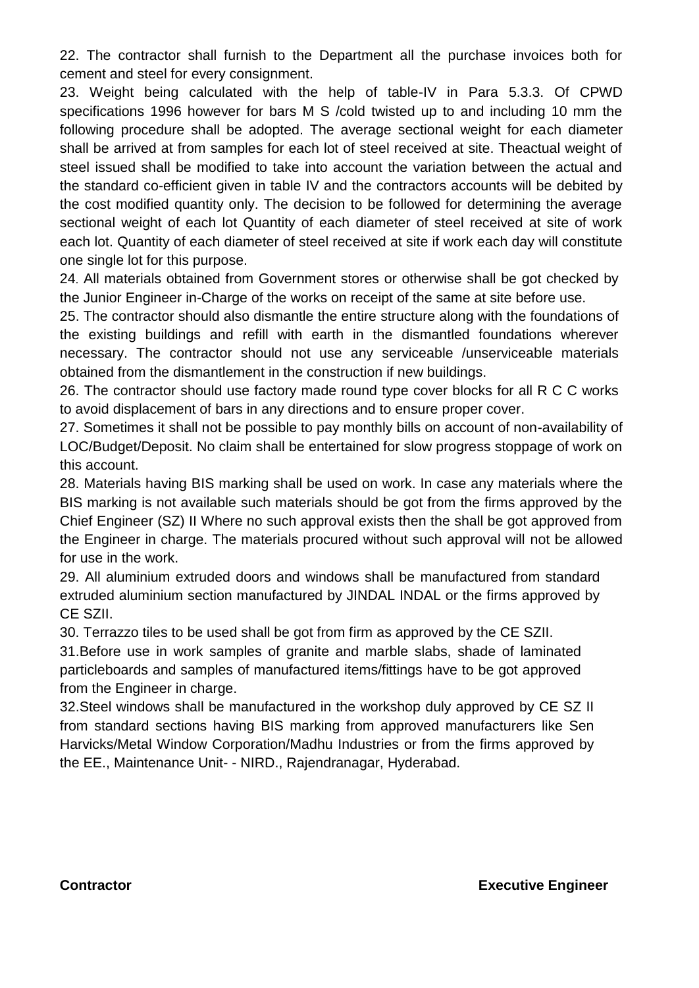22. The contractor shall furnish to the Department all the purchase invoices both for cement and steel for every consignment.

23. Weight being calculated with the help of table-IV in Para 5.3.3. Of CPWD specifications 1996 however for bars M S /cold twisted up to and including 10 mm the following procedure shall be adopted. The average sectional weight for each diameter shall be arrived at from samples for each lot of steel received at site. Theactual weight of steel issued shall be modified to take into account the variation between the actual and the standard co-efficient given in table IV and the contractors accounts will be debited by the cost modified quantity only. The decision to be followed for determining the average sectional weight of each lot Quantity of each diameter of steel received at site of work each lot. Quantity of each diameter of steel received at site if work each day will constitute one single lot for this purpose.

24. All materials obtained from Government stores or otherwise shall be got checked by the Junior Engineer in-Charge of the works on receipt of the same at site before use.

25. The contractor should also dismantle the entire structure along with the foundations of the existing buildings and refill with earth in the dismantled foundations wherever necessary. The contractor should not use any serviceable /unserviceable materials obtained from the dismantlement in the construction if new buildings.

26. The contractor should use factory made round type cover blocks for all R C C works to avoid displacement of bars in any directions and to ensure proper cover.

27. Sometimes it shall not be possible to pay monthly bills on account of non-availability of LOC/Budget/Deposit. No claim shall be entertained for slow progress stoppage of work on this account.

28. Materials having BIS marking shall be used on work. In case any materials where the BIS marking is not available such materials should be got from the firms approved by the Chief Engineer (SZ) II Where no such approval exists then the shall be got approved from the Engineer in charge. The materials procured without such approval will not be allowed for use in the work.

29. All aluminium extruded doors and windows shall be manufactured from standard extruded aluminium section manufactured by JINDAL INDAL or the firms approved by CE SZII.

30. Terrazzo tiles to be used shall be got from firm as approved by the CE SZII.

31.Before use in work samples of granite and marble slabs, shade of laminated particleboards and samples of manufactured items/fittings have to be got approved from the Engineer in charge.

32.Steel windows shall be manufactured in the workshop duly approved by CE SZ II from standard sections having BIS marking from approved manufacturers like Sen Harvicks/Metal Window Corporation/Madhu Industries or from the firms approved by the EE., Maintenance Unit- - NIRD., Rajendranagar, Hyderabad.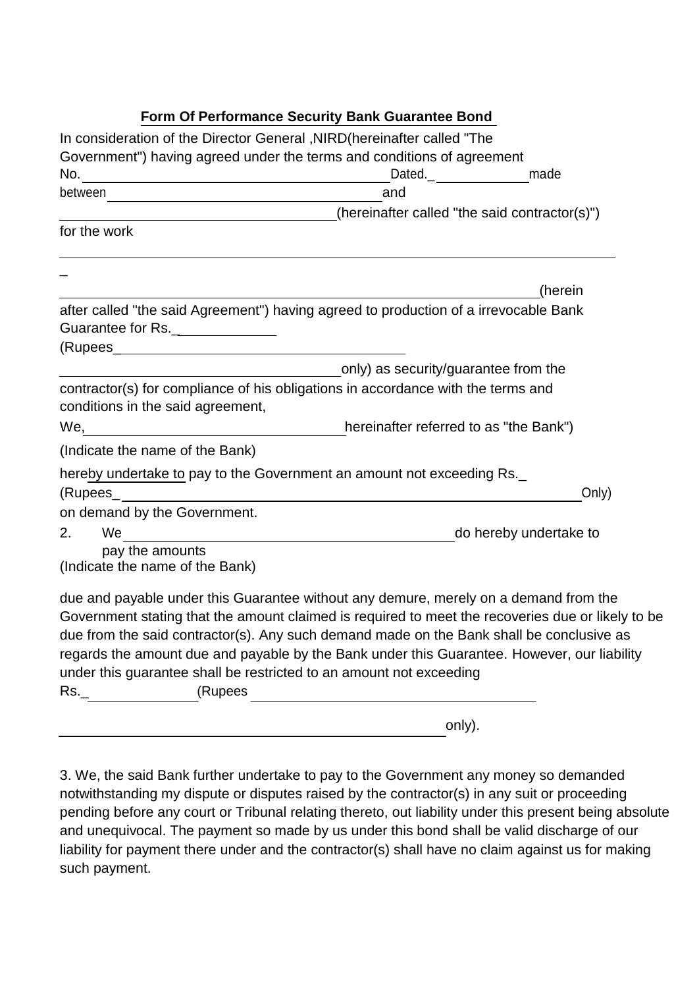# **Form Of Performance Security Bank Guarantee Bond**

| In consideration of the Director General , NIRD (hereinafter called "The                                                                                                                |                                               |                        |
|-----------------------------------------------------------------------------------------------------------------------------------------------------------------------------------------|-----------------------------------------------|------------------------|
| Government") having agreed under the terms and conditions of agreement                                                                                                                  |                                               |                        |
|                                                                                                                                                                                         | Dated.__________________made                  |                        |
|                                                                                                                                                                                         | and                                           |                        |
|                                                                                                                                                                                         | (hereinafter called "the said contractor(s)") |                        |
| for the work                                                                                                                                                                            |                                               |                        |
|                                                                                                                                                                                         |                                               | (herein                |
| after called "the said Agreement") having agreed to production of a irrevocable Bank                                                                                                    |                                               |                        |
| Guarantee for Rs.                                                                                                                                                                       |                                               |                        |
|                                                                                                                                                                                         |                                               |                        |
|                                                                                                                                                                                         | only) as security/guarantee from the          |                        |
| contractor(s) for compliance of his obligations in accordance with the terms and<br>conditions in the said agreement,                                                                   |                                               |                        |
| We, We, We will be related to as "the Bank")                                                                                                                                            |                                               |                        |
| (Indicate the name of the Bank)                                                                                                                                                         |                                               |                        |
| hereby undertake to pay to the Government an amount not exceeding Rs.                                                                                                                   |                                               |                        |
|                                                                                                                                                                                         |                                               | Only)                  |
| on demand by the Government.                                                                                                                                                            |                                               |                        |
| We are all $\overline{\phantom{a} \phantom{a} \phantom{a}}$<br>2.                                                                                                                       |                                               | do hereby undertake to |
| pay the amounts<br>(Indicate the name of the Bank)                                                                                                                                      |                                               |                        |
| due and payable under this Guarantee without any demure, merely on a demand from the                                                                                                    |                                               |                        |
| Government stating that the amount claimed is required to meet the recoveries due or likely to be                                                                                       |                                               |                        |
| due from the said contractor(s). Any such demand made on the Bank shall be conclusive as<br>regards the amount due and payable by the Bank under this Guarantee. However, our liability |                                               |                        |
| under this guarantee shall be restricted to an amount not exceeding                                                                                                                     |                                               |                        |
| $\mathsf{Rs}_-$ and $\mathsf{Rs}_-$<br>(Rupees                                                                                                                                          |                                               |                        |
|                                                                                                                                                                                         |                                               |                        |

3. We, the said Bank further undertake to pay to the Government any money so demanded notwithstanding my dispute or disputes raised by the contractor(s) in any suit or proceeding pending before any court or Tribunal relating thereto, out liability under this present being absolute and unequivocal. The payment so made by us under this bond shall be valid discharge of our liability for payment there under and the contractor(s) shall have no claim against us for making such payment.

only).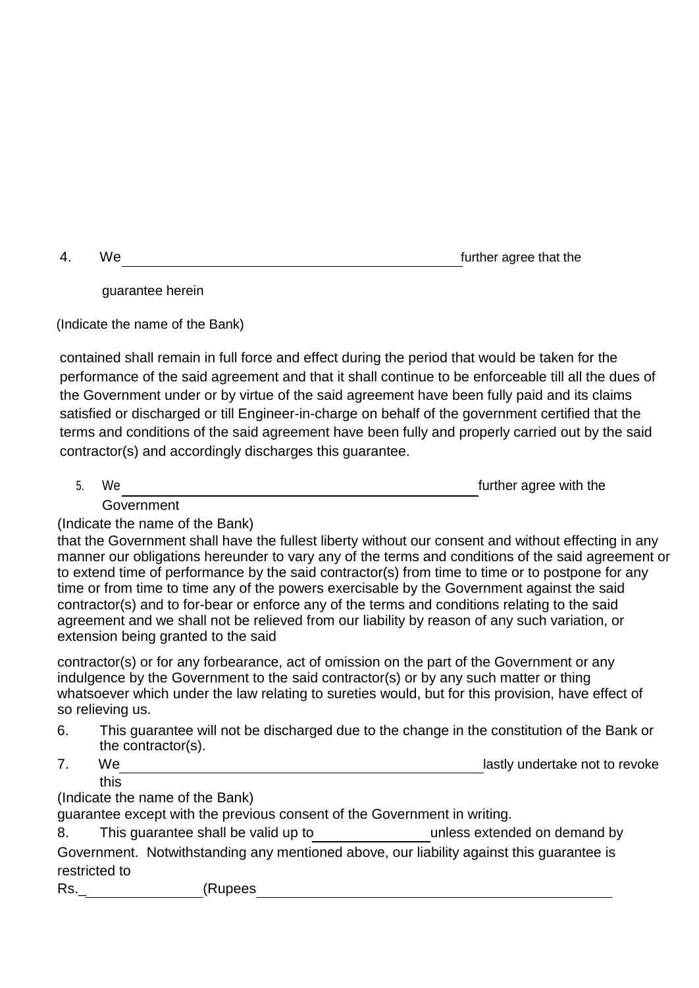4. We further agree that the

guarantee herein

(Indicate the name of the Bank)

contained shall remain in full force and effect during the period that would be taken for the performance of the said agreement and that it shall continue to be enforceable till all the dues of the Government under or by virtue of the said agreement have been fully paid and its claims satisfied or discharged or till Engineer-in-charge on behalf of the government certified that the terms and conditions of the said agreement have been fully and properly carried out by the said contractor(s) and accordingly discharges this guarantee.

5. We further agree with the Government

(Indicate the name of the Bank)

that the Government shall have the fullest liberty without our consent and without effecting in any manner our obligations hereunder to vary any of the terms and conditions of the said agreement or to extend time of performance by the said contractor(s) from time to time or to postpone for any time or from time to time any of the powers exercisable by the Government against the said contractor(s) and to for-bear or enforce any of the terms and conditions relating to the said agreement and we shall not be relieved from our liability by reason of any such variation, or extension being granted to the said

contractor(s) or for any forbearance, act of omission on the part of the Government or any indulgence by the Government to the said contractor(s) or by any such matter or thing whatsoever which under the law relating to sureties would, but for this provision, have effect of so relieving us.

- 6. This guarantee will not be discharged due to the change in the constitution of the Bank or the contractor(s).
- 7. We lastly undertake not to revoke this

(Indicate the name of the Bank)

guarantee except with the previous consent of the Government in writing.

8. This guarantee shall be valid up to b unless extended on demand by

Government. Notwithstanding any mentioned above, our liability against this guarantee is restricted to

Rs.\_ (Rupees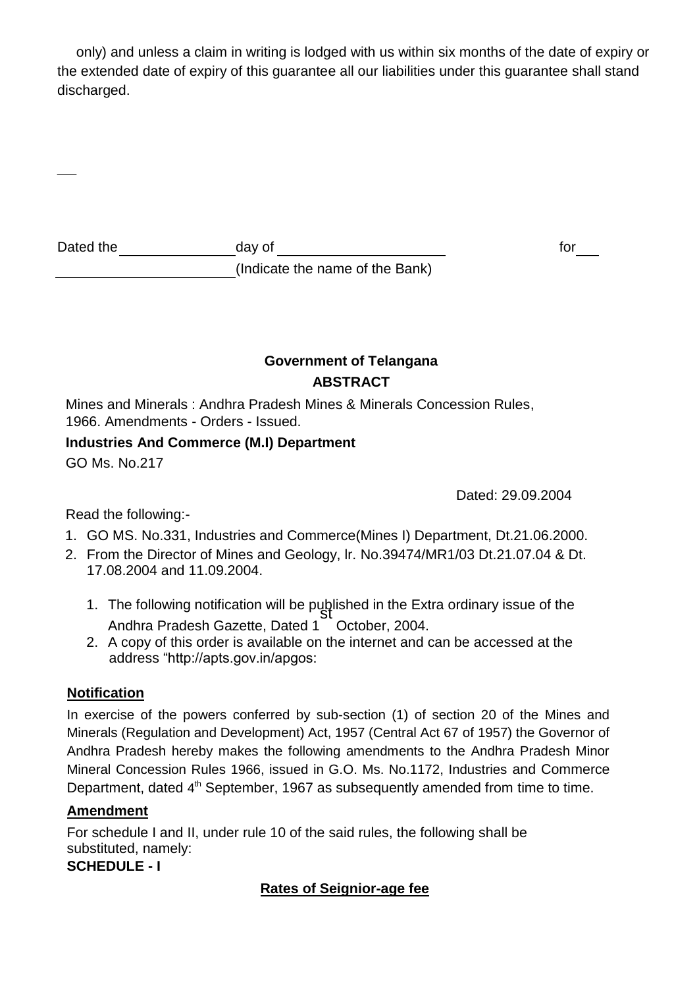only) and unless a claim in writing is lodged with us within six months of the date of expiry or the extended date of expiry of this guarantee all our liabilities under this guarantee shall stand discharged.

| Dated the | dav ot |  |
|-----------|--------|--|
|           |        |  |

(Indicate the name of the Bank)

# **Government of Telangana ABSTRACT**

Mines and Minerals : Andhra Pradesh Mines & Minerals Concession Rules, 1966. Amendments - Orders - Issued.

# **Industries And Commerce (M.I) Department**

GO Ms. No.217

Dated: 29.09.2004

Read the following:-

- 1. GO MS. No.331, Industries and Commerce(Mines I) Department, Dt.21.06.2000.
- 2. From the Director of Mines and Geology, lr. No.39474/MR1/03 Dt.21.07.04 & Dt. 17.08.2004 and 11.09.2004.
	- 1. The following notification will be published in the Extra ordinary issue of the Andhra Pradesh Gazette, Dated 1 October, 2004.
	- 2. A copy of this order is available on the internet and can be accessed at the address ["http://apts.gov.in/apgos:](http://apts.gov.in/apgos)

# **Notification**

In exercise of the powers conferred by sub-section (1) of section 20 of the Mines and Minerals (Regulation and Development) Act, 1957 (Central Act 67 of 1957) the Governor of Andhra Pradesh hereby makes the following amendments to the Andhra Pradesh Minor Mineral Concession Rules 1966, issued in G.O. Ms. No.1172, Industries and Commerce Department, dated 4<sup>th</sup> September, 1967 as subsequently amended from time to time.

# **Amendment**

For schedule I and II, under rule 10 of the said rules, the following shall be substituted, namely:

**SCHEDULE - I**

# **Rates of Seignior-age fee**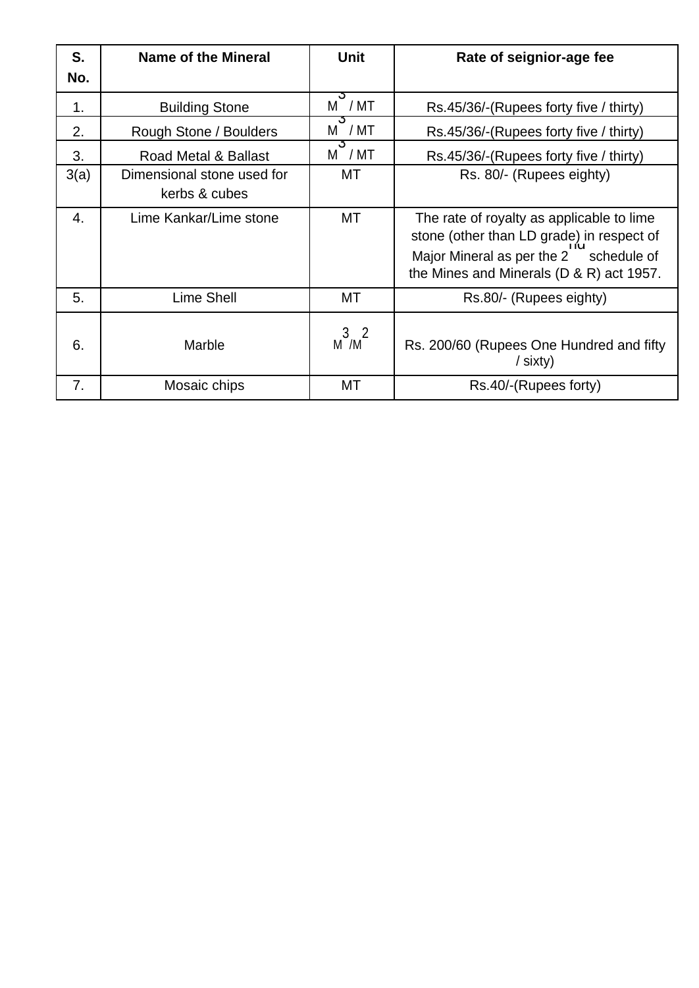| S.               | Name of the Mineral                         | <b>Unit</b>                 | Rate of seignior-age fee                                                                                                                                                     |
|------------------|---------------------------------------------|-----------------------------|------------------------------------------------------------------------------------------------------------------------------------------------------------------------------|
| No.              |                                             |                             |                                                                                                                                                                              |
| $\mathbf 1$ .    | <b>Building Stone</b>                       | ১<br>M / MT                 | Rs.45/36/-(Rupees forty five / thirty)                                                                                                                                       |
| 2.               | Rough Stone / Boulders                      | - J<br>$M^{\dagger}$ / $MT$ | Rs.45/36/-(Rupees forty five / thirty)                                                                                                                                       |
| 3.               | Road Metal & Ballast                        | J.<br>$M$ / $MT$            | Rs.45/36/-(Rupees forty five / thirty)                                                                                                                                       |
| 3(a)             | Dimensional stone used for<br>kerbs & cubes | МT                          | Rs. 80/- (Rupees eighty)                                                                                                                                                     |
| $\overline{4}$ . | Lime Kankar/Lime stone                      | МT                          | The rate of royalty as applicable to lime<br>stone (other than LD grade) in respect of<br>Major Mineral as per the 2 schedule of<br>the Mines and Minerals (D & R) act 1957. |
| 5.               | Lime Shell                                  | МT                          | Rs.80/- (Rupees eighty)                                                                                                                                                      |
| 6.               | Marble                                      | 3 <sup>2</sup><br>M /M      | Rs. 200/60 (Rupees One Hundred and fifty<br>$/$ sixty)                                                                                                                       |
| 7.               | Mosaic chips                                | МT                          | Rs.40/-(Rupees forty)                                                                                                                                                        |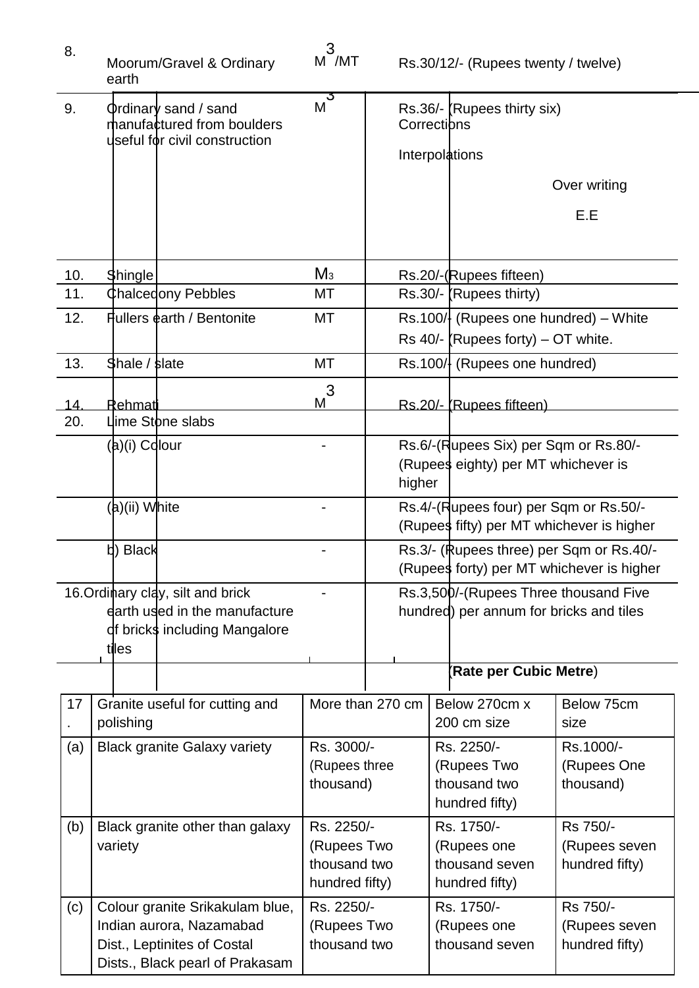| 8.  | Moorum/Gravel & Ordinary<br>earth                                                                                             | 3<br>M /MT                                |                  | Rs.30/12/- (Rupees twenty / twelve)                                                   |                                             |
|-----|-------------------------------------------------------------------------------------------------------------------------------|-------------------------------------------|------------------|---------------------------------------------------------------------------------------|---------------------------------------------|
| 9.  | <b>Φrdinarγ sand / sand</b><br>manufactured from boulders<br>useful for civil construction                                    | $M$ <sup>3</sup>                          |                  | Rs.36/- (Rupees thirty six)<br>Corrections                                            |                                             |
|     |                                                                                                                               |                                           |                  | Interpolations                                                                        |                                             |
|     |                                                                                                                               |                                           |                  |                                                                                       | Over writing                                |
|     |                                                                                                                               |                                           |                  |                                                                                       | E.E                                         |
| 10. | <b>Shingle</b>                                                                                                                | $M_3$                                     |                  | Rs.20/-(Rupees fifteen)                                                               |                                             |
| 11. | <b>Chalcedony Pebbles</b>                                                                                                     | МT                                        |                  | $Rs.30/$ - (Rupees thirty)                                                            |                                             |
| 12. | Fullers earth / Bentonite                                                                                                     | MT                                        |                  | $\text{Rs.100}/\!\!\text{l}$ (Rupees one hundred) – White                             |                                             |
| 13. | Shale / slate                                                                                                                 | MT                                        |                  | Rs 40/- (Rupees forty) $-$ OT white.<br>Rs.100/ (Rupees one hundred)                  |                                             |
|     |                                                                                                                               |                                           |                  |                                                                                       |                                             |
| 14. | Rehmati                                                                                                                       | $\mathfrak{Z}$<br>M                       |                  | Rs.20/- (Rupees fifteen)                                                              |                                             |
| 20. | Llime Stone slabs                                                                                                             |                                           |                  |                                                                                       |                                             |
|     | (a)(i) Colour                                                                                                                 |                                           | higher           | Rs.6/-(Rupees Six) per Sqm or Rs.80/-<br>(Rupees eighty) per MT whichever is          |                                             |
|     | (a)(ii) White                                                                                                                 |                                           |                  | Rs.4/-(Rupees four) per Sqm or Rs.50/-<br>(Rupees fifty) per MT whichever is higher   |                                             |
|     | b) Black                                                                                                                      |                                           |                  | Rs.3/- (Rupees three) per Sqm or Rs.40/-<br>(Rupees forty) per MT whichever is higher |                                             |
|     | 16. Ordinary clay, silt and brick<br>earth used in the manufacture<br>df bricks including Mangalore<br>tiles                  |                                           |                  | Rs.3,500/-(Rupees Three thousand Five<br>hundred) per annum for bricks and tiles      |                                             |
|     |                                                                                                                               |                                           |                  | (Rate per Cubic Metre)                                                                |                                             |
| 17  | Granite useful for cutting and<br>polishing                                                                                   |                                           | More than 270 cm | Below 270cm x<br>200 cm size                                                          | Below 75cm<br>size                          |
| (a) | <b>Black granite Galaxy variety</b>                                                                                           | Rs. 3000/-<br>(Rupees three<br>thousand)  |                  | Rs. 2250/-<br>(Rupees Two<br>thousand two<br>hundred fifty)                           | Rs.1000/-<br>(Rupees One<br>thousand)       |
| (b) | Rs. 2250/-<br>Black granite other than galaxy<br>(Rupees Two<br>variety<br>thousand two<br>hundred fifty)                     |                                           |                  | Rs. 1750/-<br>(Rupees one<br>thousand seven<br>hundred fifty)                         | Rs 750/-<br>(Rupees seven<br>hundred fifty) |
| (c) | Colour granite Srikakulam blue,<br>Indian aurora, Nazamabad<br>Dist., Leptinites of Costal<br>Dists., Black pearl of Prakasam | Rs. 2250/-<br>(Rupees Two<br>thousand two |                  | Rs. 1750/-<br>(Rupees one<br>thousand seven                                           | Rs 750/-<br>(Rupees seven<br>hundred fifty) |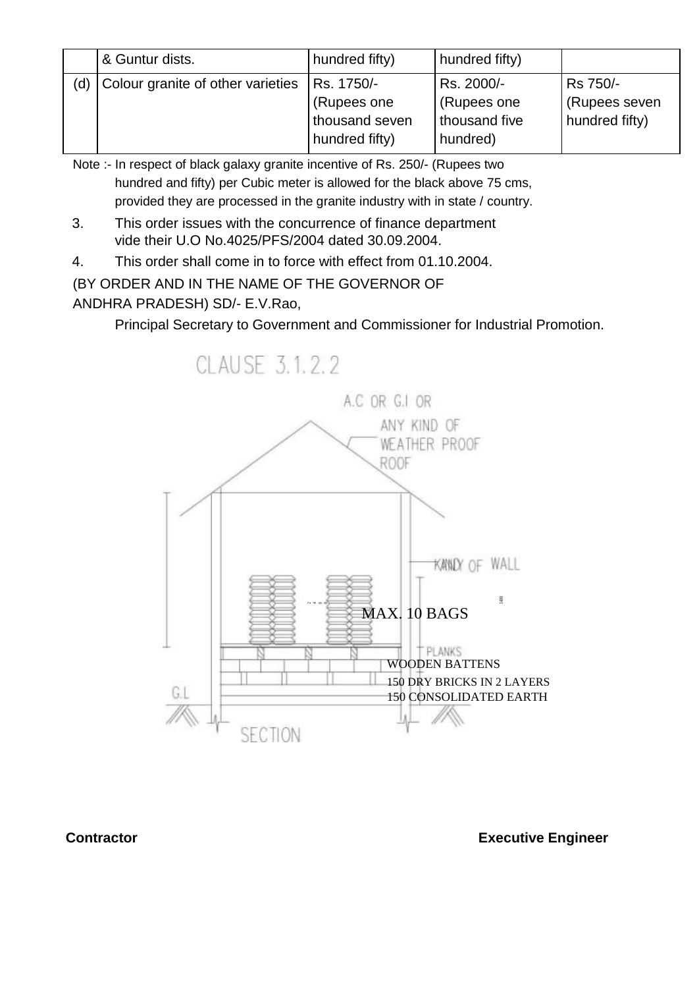|     | & Guntur dists.                   | hundred fifty) | hundred fifty) |                     |
|-----|-----------------------------------|----------------|----------------|---------------------|
| (d) | Colour granite of other varieties | Rs. 1750/-     | Rs. 2000/-     | Rs 750/-            |
|     |                                   | (Rupees one)   | (Rupees one    | <b>Rupees seven</b> |
|     |                                   | thousand seven | thousand five  | hundred fifty)      |
|     |                                   | hundred fifty) | hundred)       |                     |

Note :- In respect of black galaxy granite incentive of Rs. 250/- (Rupees two hundred and fifty) per Cubic meter is allowed for the black above 75 cms, provided they are processed in the granite industry with in state / country.

- 3. This order issues with the concurrence of finance department vide their U.O No.4025/PFS/2004 dated 30.09.2004.
- 4. This order shall come in to force with effect from 01.10.2004.

# (BY ORDER AND IN THE NAME OF THE GOVERNOR OF

# ANDHRA PRADESH) SD/- E.V.Rao,

Principal Secretary to Government and Commissioner for Industrial Promotion.

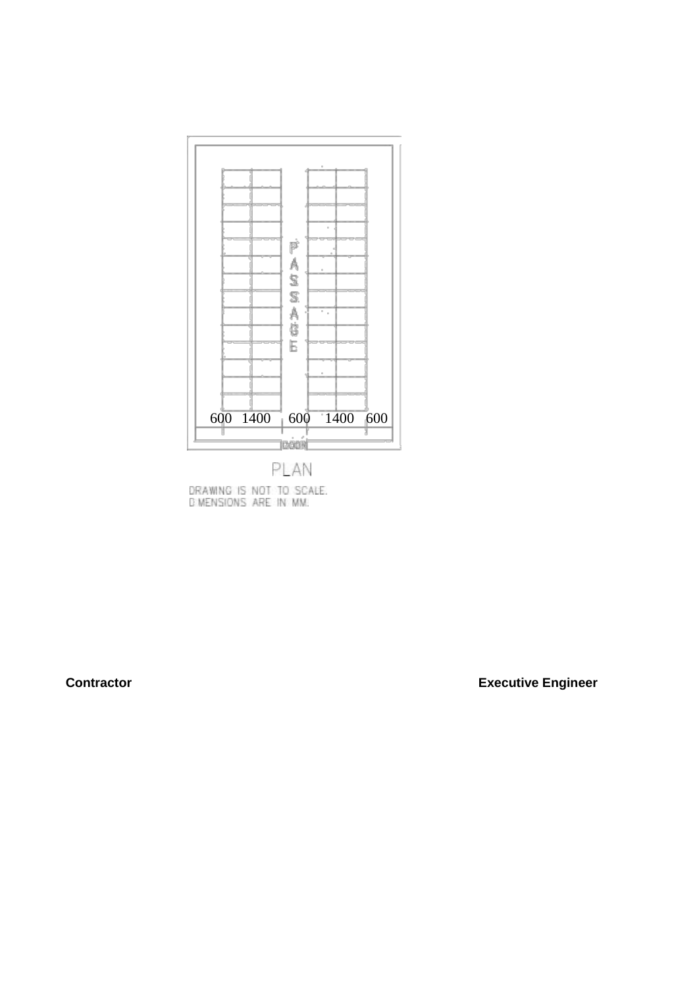

DRAWING IS NOT TO SCALE.<br>DIMENSIONS ARE IN MM.